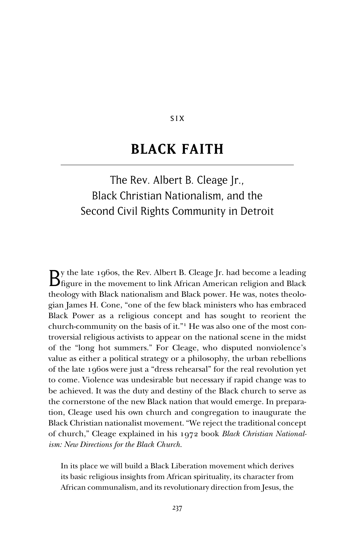### six

## **BLACK FAITH**

# The Rev. Albert B. Cleage Jr., Black Christian Nationalism, and the Second Civil Rights Community in Detroit

 $B^y$  the late 1960s, the Rev. Albert B. Cleage Jr. had become a leading  $B$ figure in the movement to link African American religion and Black theology with Black nationalism and Black power. He was, notes theologian James H. Cone, "one of the few black ministers who has embraced Black Power as a religious concept and has sought to reorient the church-community on the basis of it."<sup>1</sup> He was also one of the most controversial religious activists to appear on the national scene in the midst of the "long hot summers." For Cleage, who disputed nonviolence's value as either a political strategy or a philosophy, the urban rebellions of the late 1960s were just a "dress rehearsal" for the real revolution yet to come. Violence was undesirable but necessary if rapid change was to be achieved. It was the duty and destiny of the Black church to serve as the cornerstone of the new Black nation that would emerge. In preparation, Cleage used his own church and congregation to inaugurate the Black Christian nationalist movement. "We reject the traditional concept of church," Cleage explained in his 1972 book *Black Christian Nationalism: New Directions for the Black Church.*

In its place we will build a Black Liberation movement which derives its basic religious insights from African spirituality, its character from African communalism, and its revolutionary direction from Jesus, the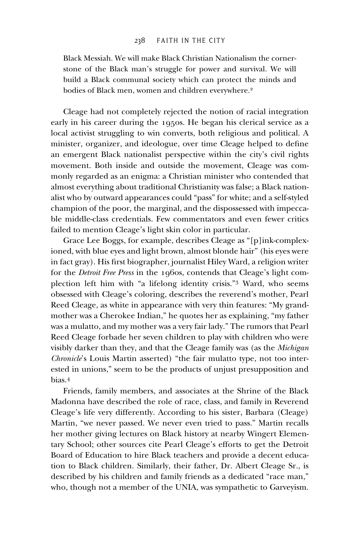Black Messiah. We will make Black Christian Nationalism the cornerstone of the Black man's struggle for power and survival. We will build a Black communal society which can protect the minds and bodies of Black men, women and children everywhere.<sup>2</sup>

Cleage had not completely rejected the notion of racial integration early in his career during the 1950s. He began his clerical service as a local activist struggling to win converts, both religious and political. A minister, organizer, and ideologue, over time Cleage helped to define an emergent Black nationalist perspective within the city's civil rights movement. Both inside and outside the movement, Cleage was commonly regarded as an enigma: a Christian minister who contended that almost everything about traditional Christianity was false; a Black nationalist who by outward appearances could "pass" for white; and a self-styled champion of the poor, the marginal, and the dispossessed with impeccable middle-class credentials. Few commentators and even fewer critics failed to mention Cleage's light skin color in particular.

Grace Lee Boggs, for example, describes Cleage as "[p]ink-complexioned, with blue eyes and light brown, almost blonde hair" (his eyes were in fact gray). His first biographer, journalist Hiley Ward, a religion writer for the *Detroit Free Press* in the 1960s, contends that Cleage's light complection left him with "a lifelong identity crisis."<sup>3</sup> Ward, who seems obsessed with Cleage's coloring, describes the reverend's mother, Pearl Reed Cleage, as white in appearance with very thin features: "My grandmother was a Cherokee Indian," he quotes her as explaining, "my father was a mulatto, and my mother was a very fair lady." The rumors that Pearl Reed Cleage forbade her seven children to play with children who were visibly darker than they, and that the Cleage family was (as the *Michigan Chronicle*'s Louis Martin asserted) "the fair mulatto type, not too interested in unions," seem to be the products of unjust presupposition and bias.<sup>4</sup>

Friends, family members, and associates at the Shrine of the Black Madonna have described the role of race, class, and family in Reverend Cleage's life very differently. According to his sister, Barbara (Cleage) Martin, "we never passed. We never even tried to pass." Martin recalls her mother giving lectures on Black history at nearby Wingert Elementary School; other sources cite Pearl Cleage's efforts to get the Detroit Board of Education to hire Black teachers and provide a decent education to Black children. Similarly, their father, Dr. Albert Cleage Sr., is described by his children and family friends as a dedicated "race man," who, though not a member of the UNIA, was sympathetic to Garveyism.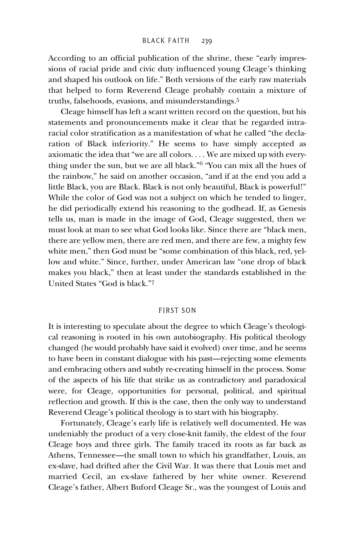According to an official publication of the shrine, these "early impressions of racial pride and civic duty influenced young Cleage's thinking and shaped his outlook on life." Both versions of the early raw materials that helped to form Reverend Cleage probably contain a mixture of truths, falsehoods, evasions, and misunderstandings.<sup>5</sup>

Cleage himself has left a scant written record on the question, but his statements and pronouncements make it clear that he regarded intraracial color stratification as a manifestation of what he called "the declaration of Black inferiority." He seems to have simply accepted as axiomatic the idea that "we are all colors. . . . We are mixed up with everything under the sun, but we are all black."<sup>6</sup> "You can mix all the hues of the rainbow," he said on another occasion, "and if at the end you add a little Black, you are Black. Black is not only beautiful, Black is powerful!" While the color of God was not a subject on which he tended to linger, he did periodically extend his reasoning to the godhead. If, as Genesis tells us, man is made in the image of God, Cleage suggested, then we must look at man to see what God looks like. Since there are "black men, there are yellow men, there are red men, and there are few, a mighty few white men," then God must be "some combination of this black, red, yellow and white." Since, further, under American law "one drop of black makes you black," then at least under the standards established in the United States "God is black."<sup>7</sup>

#### FIRST SON

It is interesting to speculate about the degree to which Cleage's theological reasoning is rooted in his own autobiography. His political theology changed (he would probably have said it evolved) over time, and he seems to have been in constant dialogue with his past—rejecting some elements and embracing others and subtly re-creating himself in the process. Some of the aspects of his life that strike us as contradictory and paradoxical were, for Cleage, opportunities for personal, political, and spiritual reflection and growth. If this is the case, then the only way to understand Reverend Cleage's political theology is to start with his biography.

Fortunately, Cleage's early life is relatively well documented. He was undeniably the product of a very close-knit family, the eldest of the four Cleage boys and three girls. The family traced its roots as far back as Athens, Tennessee—the small town to which his grandfather, Louis, an ex-slave, had drifted after the Civil War. It was there that Louis met and married Cecil, an ex-slave fathered by her white owner. Reverend Cleage's father, Albert Buford Cleage Sr., was the youngest of Louis and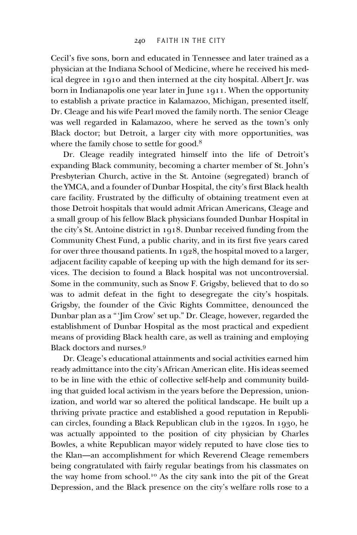Cecil's five sons, born and educated in Tennessee and later trained as a physician at the Indiana School of Medicine, where he received his medical degree in 1910 and then interned at the city hospital. Albert Jr. was born in Indianapolis one year later in June 1911. When the opportunity to establish a private practice in Kalamazoo, Michigan, presented itself, Dr. Cleage and his wife Pearl moved the family north. The senior Cleage was well regarded in Kalamazoo, where he served as the town's only Black doctor; but Detroit, a larger city with more opportunities, was where the family chose to settle for good.<sup>8</sup>

Dr. Cleage readily integrated himself into the life of Detroit's expanding Black community, becoming a charter member of St. John's Presbyterian Church, active in the St. Antoine (segregated) branch of the YMCA, and a founder of Dunbar Hospital, the city's first Black health care facility. Frustrated by the difficulty of obtaining treatment even at those Detroit hospitals that would admit African Americans, Cleage and a small group of his fellow Black physicians founded Dunbar Hospital in the city's St. Antoine district in 1918. Dunbar received funding from the Community Chest Fund, a public charity, and in its first five years cared for over three thousand patients. In 1928, the hospital moved to a larger, adjacent facility capable of keeping up with the high demand for its services. The decision to found a Black hospital was not uncontroversial. Some in the community, such as Snow F. Grigsby, believed that to do so was to admit defeat in the fight to desegregate the city's hospitals. Grigsby, the founder of the Civic Rights Committee, denounced the Dunbar plan as a "'Jim Crow' set up." Dr. Cleage, however, regarded the establishment of Dunbar Hospital as the most practical and expedient means of providing Black health care, as well as training and employing Black doctors and nurses.9

Dr. Cleage's educational attainments and social activities earned him ready admittance into the city's African American elite. His ideas seemed to be in line with the ethic of collective self-help and community building that guided local activism in the years before the Depression, unionization, and world war so altered the political landscape. He built up a thriving private practice and established a good reputation in Republican circles, founding a Black Republican club in the 1920s. In 1930, he was actually appointed to the position of city physician by Charles Bowles, a white Republican mayor widely reputed to have close ties to the Klan—an accomplishment for which Reverend Cleage remembers being congratulated with fairly regular beatings from his classmates on the way home from school.<sup>10</sup> As the city sank into the pit of the Great Depression, and the Black presence on the city's welfare rolls rose to a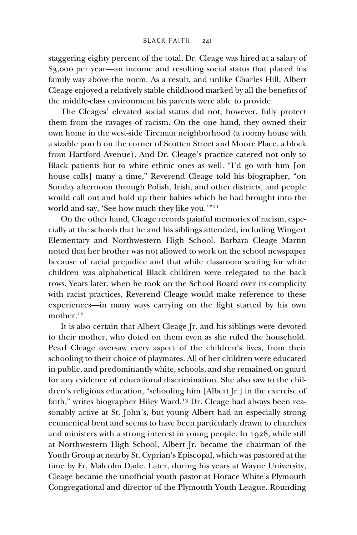staggering eighty percent of the total, Dr. Cleage was hired at a salary of \$3,000 per year—an income and resulting social status that placed his family way above the norm. As a result, and unlike Charles Hill, Albert Cleage enjoyed a relatively stable childhood marked by all the benefits of the middle-class environment his parents were able to provide.

The Cleages' elevated social status did not, however, fully protect them from the ravages of racism. On the one hand, they owned their own home in the west-side Tireman neighborhood (a roomy house with a sizable porch on the corner of Scotten Street and Moore Place, a block from Hartford Avenue). And Dr. Cleage's practice catered not only to Black patients but to white ethnic ones as well. "I'd go with him [on house calls] many a time," Reverend Cleage told his biographer, "on Sunday afternoon through Polish, Irish, and other districts, and people would call out and hold up their babies which he had brought into the world and say, 'See how much they like you.'"<sup>11</sup>

On the other hand, Cleage records painful memories of racism, especially at the schools that he and his siblings attended, including Wingert Elementary and Northwestern High School. Barbara Cleage Martin noted that her brother was not allowed to work on the school newspaper because of racial prejudice and that while classroom seating for white children was alphabetical Black children were relegated to the back rows. Years later, when he took on the School Board over its complicity with racist practices, Reverend Cleage would make reference to these experiences—in many ways carrying on the fight started by his own mother.<sup>12</sup>

It is also certain that Albert Cleage Jr. and his siblings were devoted to their mother, who doted on them even as she ruled the household. Pearl Cleage oversaw every aspect of the children's lives, from their schooling to their choice of playmates. All of her children were educated in public, and predominantly white, schools, and she remained on guard for any evidence of educational discrimination. She also saw to the children's religious education, "schooling him [Albert Jr.] in the exercise of faith," writes biographer Hiley Ward.13 Dr. Cleage had always been reasonably active at St. John's, but young Albert had an especially strong ecumenical bent and seems to have been particularly drawn to churches and ministers with a strong interest in young people. In 1928, while still at Northwestern High School, Albert Jr. became the chairman of the Youth Group at nearby St. Cyprian's Episcopal, which was pastored at the time by Fr. Malcolm Dade. Later, during his years at Wayne University, Cleage became the unofficial youth pastor at Horace White's Plymouth Congregational and director of the Plymouth Youth League. Rounding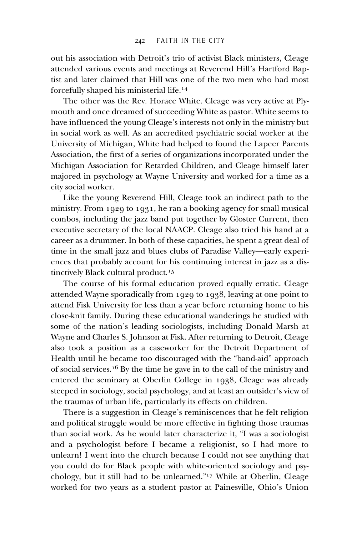out his association with Detroit's trio of activist Black ministers, Cleage attended various events and meetings at Reverend Hill's Hartford Baptist and later claimed that Hill was one of the two men who had most forcefully shaped his ministerial life.<sup>14</sup>

The other was the Rev. Horace White. Cleage was very active at Plymouth and once dreamed of succeeding White as pastor. White seems to have influenced the young Cleage's interests not only in the ministry but in social work as well. As an accredited psychiatric social worker at the University of Michigan, White had helped to found the Lapeer Parents Association, the first of a series of organizations incorporated under the Michigan Association for Retarded Children, and Cleage himself later majored in psychology at Wayne University and worked for a time as a city social worker.

Like the young Reverend Hill, Cleage took an indirect path to the ministry. From 1929 to 1931, he ran a booking agency for small musical combos, including the jazz band put together by Gloster Current, then executive secretary of the local NAACP. Cleage also tried his hand at a career as a drummer. In both of these capacities, he spent a great deal of time in the small jazz and blues clubs of Paradise Valley—early experiences that probably account for his continuing interest in jazz as a distinctively Black cultural product.<sup>15</sup>

The course of his formal education proved equally erratic. Cleage attended Wayne sporadically from 1929 to 1938, leaving at one point to attend Fisk University for less than a year before returning home to his close-knit family. During these educational wanderings he studied with some of the nation's leading sociologists, including Donald Marsh at Wayne and Charles S. Johnson at Fisk. After returning to Detroit, Cleage also took a position as a caseworker for the Detroit Department of Health until he became too discouraged with the "band-aid" approach of social services.16 By the time he gave in to the call of the ministry and entered the seminary at Oberlin College in 1938, Cleage was already steeped in sociology, social psychology, and at least an outsider's view of the traumas of urban life, particularly its effects on children.

There is a suggestion in Cleage's reminiscences that he felt religion and political struggle would be more effective in fighting those traumas than social work. As he would later characterize it, "I was a sociologist and a psychologist before I became a religionist, so I had more to unlearn! I went into the church because I could not see anything that you could do for Black people with white-oriented sociology and psychology, but it still had to be unlearned."<sup>17</sup> While at Oberlin, Cleage worked for two years as a student pastor at Painesville, Ohio's Union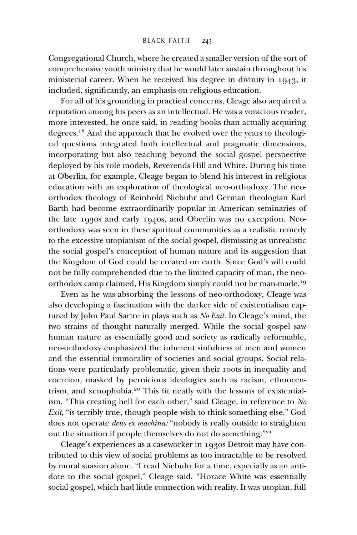Congregational Church, where he created a smaller version of the sort of comprehensive youth ministry that he would later sustain throughout his ministerial career. When he received his degree in divinity in 1943, it included, significantly, an emphasis on religious education.

For all of his grounding in practical concerns, Cleage also acquired a reputation among his peers as an intellectual. He was a voracious reader, more interested, he once said, in reading books than actually acquiring degrees.18 And the approach that he evolved over the years to theological questions integrated both intellectual and pragmatic dimensions, incorporating but also reaching beyond the social gospel perspective deployed by his role models, Reverends Hill and White. During his time at Oberlin, for example, Cleage began to blend his interest in religious education with an exploration of theological neo-orthodoxy. The neoorthodox theology of Reinhold Niebuhr and German theologian Karl Barth had become extraordinarily popular in American seminaries of the late 1930s and early 1940s, and Oberlin was no exception. Neoorthodoxy was seen in these spiritual communities as a realistic remedy to the excessive utopianism of the social gospel, dismissing as unrealistic the social gospel's conception of human nature and its suggestion that the Kingdom of God could be created on earth. Since God's will could not be fully comprehended due to the limited capacity of man, the neoorthodox camp claimed, His Kingdom simply could not be man-made.<sup>19</sup>

Even as he was absorbing the lessons of neo-orthodoxy, Cleage was also developing a fascination with the darker side of existentialism captured by John Paul Sartre in plays such as *No Exit.* In Cleage's mind, the two strains of thought naturally merged. While the social gospel saw human nature as essentially good and society as radically reformable, neo-orthodoxy emphasized the inherent sinfulness of men and women and the essential immorality of societies and social groups. Social relations were particularly problematic, given their roots in inequality and coercion, masked by pernicious ideologies such as racism, ethnocentrism, and xenophobia.<sup>20</sup> This fit neatly with the lessons of existentialism. "This creating hell for each other," said Cleage, in reference to *No Exit,* "is terribly true, though people wish to think something else." God does not operate *deus ex machina:* "nobody is really outside to straighten out the situation if people themselves do not do something."<sup>21</sup>

Cleage's experiences as a caseworker in 1930s Detroit may have contributed to this view of social problems as too intractable to be resolved by moral suasion alone. "I read Niebuhr for a time, especially as an antidote to the social gospel," Cleage said. "Horace White was essentially social gospel, which had little connection with reality. It was utopian, full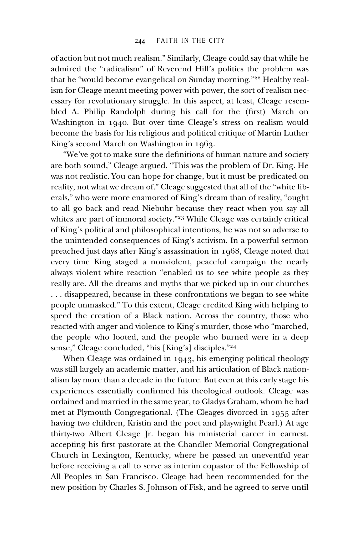of action but not much realism." Similarly, Cleage could say that while he admired the "radicalism" of Reverend Hill's politics the problem was that he "would become evangelical on Sunday morning."22 Healthy realism for Cleage meant meeting power with power, the sort of realism necessary for revolutionary struggle. In this aspect, at least, Cleage resembled A. Philip Randolph during his call for the (first) March on Washington in 1940. But over time Cleage's stress on realism would become the basis for his religious and political critique of Martin Luther King's second March on Washington in 1963.

"We've got to make sure the definitions of human nature and society are both sound," Cleage argued. "This was the problem of Dr. King. He was not realistic. You can hope for change, but it must be predicated on reality, not what we dream of." Cleage suggested that all of the "white liberals," who were more enamored of King's dream than of reality, "ought to all go back and read Niebuhr because they react when you say all whites are part of immoral society."<sup>23</sup> While Cleage was certainly critical of King's political and philosophical intentions, he was not so adverse to the unintended consequences of King's activism. In a powerful sermon preached just days after King's assassination in 1968, Cleage noted that every time King staged a nonviolent, peaceful campaign the nearly always violent white reaction "enabled us to see white people as they really are. All the dreams and myths that we picked up in our churches . . . disappeared, because in these confrontations we began to see white people unmasked." To this extent, Cleage credited King with helping to speed the creation of a Black nation. Across the country, those who reacted with anger and violence to King's murder, those who "marched, the people who looted, and the people who burned were in a deep sense," Cleage concluded, "his [King's] disciples."24

When Cleage was ordained in 1943, his emerging political theology was still largely an academic matter, and his articulation of Black nationalism lay more than a decade in the future. But even at this early stage his experiences essentially confirmed his theological outlook. Cleage was ordained and married in the same year, to Gladys Graham, whom he had met at Plymouth Congregational. (The Cleages divorced in 1955 after having two children, Kristin and the poet and playwright Pearl.) At age thirty-two Albert Cleage Jr. began his ministerial career in earnest, accepting his first pastorate at the Chandler Memorial Congregational Church in Lexington, Kentucky, where he passed an uneventful year before receiving a call to serve as interim copastor of the Fellowship of All Peoples in San Francisco. Cleage had been recommended for the new position by Charles S. Johnson of Fisk, and he agreed to serve until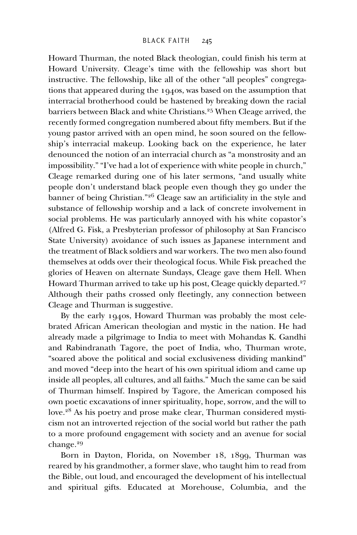Howard Thurman, the noted Black theologian, could finish his term at Howard University. Cleage's time with the fellowship was short but instructive. The fellowship, like all of the other "all peoples" congregations that appeared during the 1940s, was based on the assumption that interracial brotherhood could be hastened by breaking down the racial barriers between Black and white Christians.<sup>25</sup> When Cleage arrived, the recently formed congregation numbered about fifty members. But if the young pastor arrived with an open mind, he soon soured on the fellowship's interracial makeup. Looking back on the experience, he later denounced the notion of an interracial church as "a monstrosity and an impossibility." "I've had a lot of experience with white people in church," Cleage remarked during one of his later sermons, "and usually white people don't understand black people even though they go under the banner of being Christian."<sup>26</sup> Cleage saw an artificiality in the style and substance of fellowship worship and a lack of concrete involvement in social problems. He was particularly annoyed with his white copastor's (Alfred G. Fisk, a Presbyterian professor of philosophy at San Francisco State University) avoidance of such issues as Japanese internment and the treatment of Black soldiers and war workers. The two men also found themselves at odds over their theological focus. While Fisk preached the glories of Heaven on alternate Sundays, Cleage gave them Hell. When Howard Thurman arrived to take up his post, Cleage quickly departed.<sup>27</sup> Although their paths crossed only fleetingly, any connection between Cleage and Thurman is suggestive.

By the early 1940s, Howard Thurman was probably the most celebrated African American theologian and mystic in the nation. He had already made a pilgrimage to India to meet with Mohandas K. Gandhi and Rabindranath Tagore, the poet of India, who, Thurman wrote, "soared above the political and social exclusiveness dividing mankind" and moved "deep into the heart of his own spiritual idiom and came up inside all peoples, all cultures, and all faiths." Much the same can be said of Thurman himself. Inspired by Tagore, the American composed his own poetic excavations of inner spirituality, hope, sorrow, and the will to love.<sup>28</sup> As his poetry and prose make clear, Thurman considered mysticism not an introverted rejection of the social world but rather the path to a more profound engagement with society and an avenue for social change.29

Born in Dayton, Florida, on November 18, 1899, Thurman was reared by his grandmother, a former slave, who taught him to read from the Bible, out loud, and encouraged the development of his intellectual and spiritual gifts. Educated at Morehouse, Columbia, and the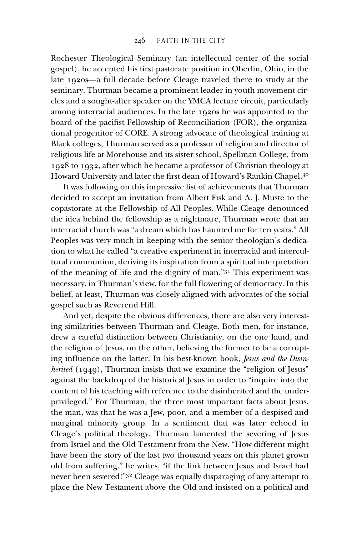Rochester Theological Seminary (an intellectual center of the social gospel), he accepted his first pastorate position in Oberlin, Ohio, in the late 1920s—a full decade before Cleage traveled there to study at the seminary. Thurman became a prominent leader in youth movement circles and a sought-after speaker on the YMCA lecture circuit, particularly among interracial audiences. In the late 1920s he was appointed to the board of the pacifist Fellowship of Reconciliation (FOR), the organizational progenitor of CORE. A strong advocate of theological training at Black colleges, Thurman served as a professor of religion and director of religious life at Morehouse and its sister school, Spellman College, from 1928 to 1932, after which he became a professor of Christian theology at Howard University and later the first dean of Howard's Rankin Chapel.<sup>30</sup>

It was following on this impressive list of achievements that Thurman decided to accept an invitation from Albert Fisk and A. J. Muste to the copastorate at the Fellowship of All Peoples. While Cleage denounced the idea behind the fellowship as a nightmare, Thurman wrote that an interracial church was "a dream which has haunted me for ten years." All Peoples was very much in keeping with the senior theologian's dedication to what he called "a creative experiment in interracial and intercultural communion, deriving its inspiration from a spiritual interpretation of the meaning of life and the dignity of man."<sup>31</sup> This experiment was necessary, in Thurman's view, for the full flowering of democracy. In this belief, at least, Thurman was closely aligned with advocates of the social gospel such as Reverend Hill.

And yet, despite the obvious differences, there are also very interesting similarities between Thurman and Cleage. Both men, for instance, drew a careful distinction between Christianity, on the one hand, and the religion of Jesus, on the other, believing the former to be a corrupting influence on the latter. In his best-known book, *Jesus and the Disinherited* (1949), Thurman insists that we examine the "religion of Jesus" against the backdrop of the historical Jesus in order to "inquire into the content of his teaching with reference to the disinherited and the underprivileged." For Thurman, the three most important facts about Jesus, the man, was that he was a Jew, poor, and a member of a despised and marginal minority group. In a sentiment that was later echoed in Cleage's political theology, Thurman lamented the severing of Jesus from Israel and the Old Testament from the New. "How different might have been the story of the last two thousand years on this planet grown old from suffering," he writes, "if the link between Jesus and Israel had never been severed!"32 Cleage was equally disparaging of any attempt to place the New Testament above the Old and insisted on a political and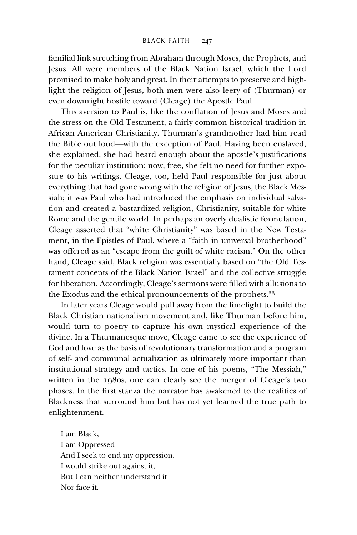familial link stretching from Abraham through Moses, the Prophets, and Jesus. All were members of the Black Nation Israel, which the Lord promised to make holy and great. In their attempts to preserve and highlight the religion of Jesus, both men were also leery of (Thurman) or even downright hostile toward (Cleage) the Apostle Paul.

This aversion to Paul is, like the conflation of Jesus and Moses and the stress on the Old Testament, a fairly common historical tradition in African American Christianity. Thurman's grandmother had him read the Bible out loud—with the exception of Paul. Having been enslaved, she explained, she had heard enough about the apostle's justifications for the peculiar institution; now, free, she felt no need for further exposure to his writings. Cleage, too, held Paul responsible for just about everything that had gone wrong with the religion of Jesus, the Black Messiah; it was Paul who had introduced the emphasis on individual salvation and created a bastardized religion, Christianity, suitable for white Rome and the gentile world. In perhaps an overly dualistic formulation, Cleage asserted that "white Christianity" was based in the New Testament, in the Epistles of Paul, where a "faith in universal brotherhood" was offered as an "escape from the guilt of white racism." On the other hand, Cleage said, Black religion was essentially based on "the Old Testament concepts of the Black Nation Israel" and the collective struggle for liberation. Accordingly, Cleage's sermons were filled with allusions to the Exodus and the ethical pronouncements of the prophets.33

In later years Cleage would pull away from the limelight to build the Black Christian nationalism movement and, like Thurman before him, would turn to poetry to capture his own mystical experience of the divine. In a Thurmanesque move, Cleage came to see the experience of God and love as the basis of revolutionary transformation and a program of self- and communal actualization as ultimately more important than institutional strategy and tactics. In one of his poems, "The Messiah," written in the 1980s, one can clearly see the merger of Cleage's two phases. In the first stanza the narrator has awakened to the realities of Blackness that surround him but has not yet learned the true path to enlightenment.

I am Black, I am Oppressed And I seek to end my oppression. I would strike out against it, But I can neither understand it Nor face it.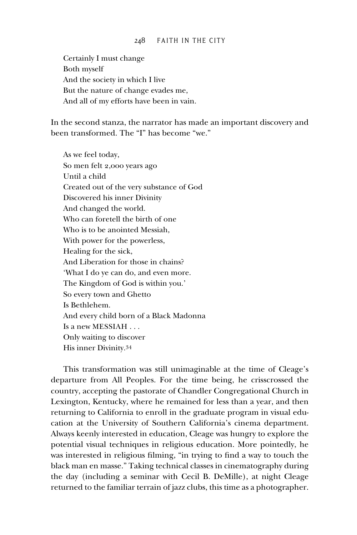Certainly I must change Both myself And the society in which I live But the nature of change evades me, And all of my efforts have been in vain.

In the second stanza, the narrator has made an important discovery and been transformed. The "I" has become "we."

As we feel today, So men felt 2,000 years ago Until a child Created out of the very substance of God Discovered his inner Divinity And changed the world. Who can foretell the birth of one Who is to be anointed Messiah, With power for the powerless, Healing for the sick, And Liberation for those in chains? 'What I do ye can do, and even more. The Kingdom of God is within you.' So every town and Ghetto Is Bethlehem. And every child born of a Black Madonna Is a new MESSIAH . . . Only waiting to discover His inner Divinity.<sup>34</sup>

This transformation was still unimaginable at the time of Cleage's departure from All Peoples. For the time being, he crisscrossed the country, accepting the pastorate of Chandler Congregational Church in Lexington, Kentucky, where he remained for less than a year, and then returning to California to enroll in the graduate program in visual education at the University of Southern California's cinema department. Always keenly interested in education, Cleage was hungry to explore the potential visual techniques in religious education. More pointedly, he was interested in religious filming, "in trying to find a way to touch the black man en masse." Taking technical classes in cinematography during the day (including a seminar with Cecil B. DeMille), at night Cleage returned to the familiar terrain of jazz clubs, this time as a photographer.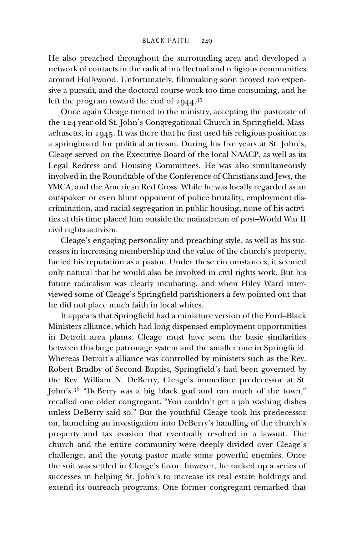He also preached throughout the surrounding area and developed a network of contacts in the radical intellectual and religious communities around Hollywood. Unfortunately, filmmaking soon proved too expensive a pursuit, and the doctoral course work too time consuming, and he left the program toward the end of 1944.35

Once again Cleage turned to the ministry, accepting the pastorate of the 124-year-old St. John's Congregational Church in Springfield, Massachusetts, in 1945. It was there that he first used his religious position as a springboard for political activism. During his five years at St. John's, Cleage served on the Executive Board of the local NAACP, as well as its Legal Redress and Housing Committees. He was also simultaneously involved in the Roundtable of the Conference of Christians and Jews, the YMCA, and the American Red Cross. While he was locally regarded as an outspoken or even blunt opponent of police brutality, employment discrimination, and racial segregation in public housing, none of his activities at this time placed him outside the mainstream of post–World War II civil rights activism.

Cleage's engaging personality and preaching style, as well as his successes in increasing membership and the value of the church's property, fueled his reputation as a pastor. Under these circumstances, it seemed only natural that he would also be involved in civil rights work. But his future radicalism was clearly incubating, and when Hiley Ward interviewed some of Cleage's Springfield parishioners a few pointed out that he did not place much faith in local whites.

It appears that Springfield had a miniature version of the Ford–Black Ministers alliance, which had long dispensed employment opportunities in Detroit area plants. Cleage must have seen the basic similarities between this large patronage system and the smaller one in Springfield. Whereas Detroit's alliance was controlled by ministers such as the Rev. Robert Bradby of Second Baptist, Springfield's had been governed by the Rev. William N. DeBerry, Cleage's immediate predecessor at St. John's.<sup>36</sup> "DeBerry was a big black god and ran much of the town," recalled one older congregant. "You couldn't get a job washing dishes unless DeBerry said so." But the youthful Cleage took his predecessor on, launching an investigation into DeBerry's handling of the church's property and tax evasion that eventually resulted in a lawsuit. The church and the entire community were deeply divided over Cleage's challenge, and the young pastor made some powerful enemies. Once the suit was settled in Cleage's favor, however, he racked up a series of successes in helping St. John's to increase its real estate holdings and extend its outreach programs. One former congregant remarked that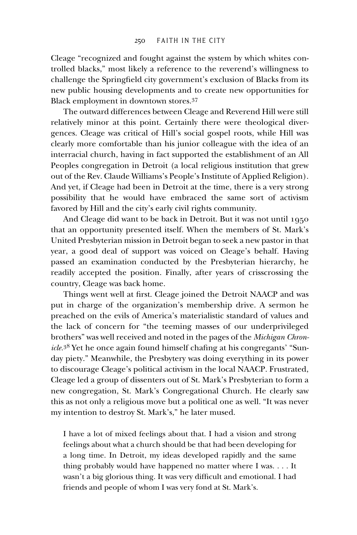Cleage "recognized and fought against the system by which whites controlled blacks," most likely a reference to the reverend's willingness to challenge the Springfield city government's exclusion of Blacks from its new public housing developments and to create new opportunities for Black employment in downtown stores.<sup>37</sup>

The outward differences between Cleage and Reverend Hill were still relatively minor at this point. Certainly there were theological divergences. Cleage was critical of Hill's social gospel roots, while Hill was clearly more comfortable than his junior colleague with the idea of an interracial church, having in fact supported the establishment of an All Peoples congregation in Detroit (a local religious institution that grew out of the Rev. Claude Williams's People's Institute of Applied Religion). And yet, if Cleage had been in Detroit at the time, there is a very strong possibility that he would have embraced the same sort of activism favored by Hill and the city's early civil rights community.

And Cleage did want to be back in Detroit. But it was not until 1950 that an opportunity presented itself. When the members of St. Mark's United Presbyterian mission in Detroit began to seek a new pastor in that year, a good deal of support was voiced on Cleage's behalf. Having passed an examination conducted by the Presbyterian hierarchy, he readily accepted the position. Finally, after years of crisscrossing the country, Cleage was back home.

Things went well at first. Cleage joined the Detroit NAACP and was put in charge of the organization's membership drive. A sermon he preached on the evils of America's materialistic standard of values and the lack of concern for "the teeming masses of our underprivileged brothers" was well received and noted in the pages of the *Michigan Chronicle*.<sup>38</sup> Yet he once again found himself chafing at his congregants' "Sunday piety." Meanwhile, the Presbytery was doing everything in its power to discourage Cleage's political activism in the local NAACP. Frustrated, Cleage led a group of dissenters out of St. Mark's Presbyterian to form a new congregation, St. Mark's Congregational Church. He clearly saw this as not only a religious move but a political one as well. "It was never my intention to destroy St. Mark's," he later mused.

I have a lot of mixed feelings about that. I had a vision and strong feelings about what a church should be that had been developing for a long time. In Detroit, my ideas developed rapidly and the same thing probably would have happened no matter where I was. . . . It wasn't a big glorious thing. It was very difficult and emotional. I had friends and people of whom I was very fond at St. Mark's.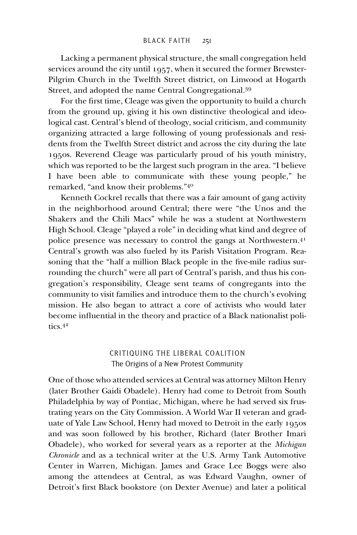Lacking a permanent physical structure, the small congregation held services around the city until 1957, when it secured the former Brewster-Pilgrim Church in the Twelfth Street district, on Linwood at Hogarth Street, and adopted the name Central Congregational.39

For the first time, Cleage was given the opportunity to build a church from the ground up, giving it his own distinctive theological and ideological cast. Central's blend of theology, social criticism, and community organizing attracted a large following of young professionals and residents from the Twelfth Street district and across the city during the late 1950s. Reverend Cleage was particularly proud of his youth ministry, which was reported to be the largest such program in the area. "I believe I have been able to communicate with these young people," he remarked, "and know their problems."40

Kenneth Cockrel recalls that there was a fair amount of gang activity in the neighborhood around Central; there were "the Unos and the Shakers and the Chili Macs" while he was a student at Northwestern High School. Cleage "played a role" in deciding what kind and degree of police presence was necessary to control the gangs at Northwestern.41 Central's growth was also fueled by its Parish Visitation Program. Reasoning that the "half a million Black people in the five-mile radius surrounding the church" were all part of Central's parish, and thus his congregation's responsibility, Cleage sent teams of congregants into the community to visit families and introduce them to the church's evolving mission. He also began to attract a core of activists who would later become influential in the theory and practice of a Black nationalist politics. $4<sup>2</sup>$ 

## CRITIQUING THE LIBERAL COALITION The Origins of a New Protest Community

One of those who attended services at Central was attorney Milton Henry (later Brother Gaidi Obadele). Henry had come to Detroit from South Philadelphia by way of Pontiac, Michigan, where he had served six frustrating years on the City Commission. A World War II veteran and graduate of Yale Law School, Henry had moved to Detroit in the early 1950s and was soon followed by his brother, Richard (later Brother Imari Obadele), who worked for several years as a reporter at the *Michigan Chronicle* and as a technical writer at the U.S. Army Tank Automotive Center in Warren, Michigan. James and Grace Lee Boggs were also among the attendees at Central, as was Edward Vaughn, owner of Detroit's first Black bookstore (on Dexter Avenue) and later a political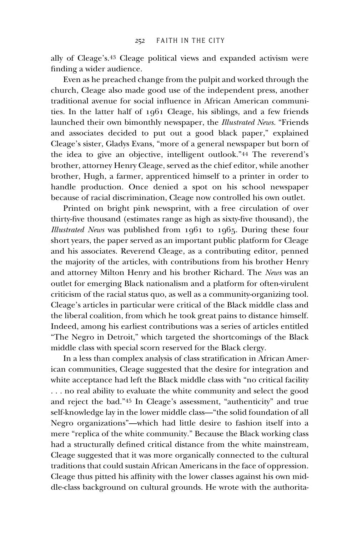ally of Cleage's.<sup>43</sup> Cleage political views and expanded activism were finding a wider audience.

Even as he preached change from the pulpit and worked through the church, Cleage also made good use of the independent press, another traditional avenue for social influence in African American communities. In the latter half of 1961 Cleage, his siblings, and a few friends launched their own bimonthly newspaper, the *Illustrated News.* "Friends and associates decided to put out a good black paper," explained Cleage's sister, Gladys Evans, "more of a general newspaper but born of the idea to give an objective, intelligent outlook."<sup>44</sup> The reverend's brother, attorney Henry Cleage, served as the chief editor, while another brother, Hugh, a farmer, apprenticed himself to a printer in order to handle production. Once denied a spot on his school newspaper because of racial discrimination, Cleage now controlled his own outlet.

Printed on bright pink newsprint, with a free circulation of over thirty-five thousand (estimates range as high as sixty-five thousand), the *Illustrated News* was published from 1961 to 1965. During these four short years, the paper served as an important public platform for Cleage and his associates. Reverend Cleage, as a contributing editor, penned the majority of the articles, with contributions from his brother Henry and attorney Milton Henry and his brother Richard. The *News* was an outlet for emerging Black nationalism and a platform for often-virulent criticism of the racial status quo, as well as a community-organizing tool. Cleage's articles in particular were critical of the Black middle class and the liberal coalition, from which he took great pains to distance himself. Indeed, among his earliest contributions was a series of articles entitled "The Negro in Detroit," which targeted the shortcomings of the Black middle class with special scorn reserved for the Black clergy.

In a less than complex analysis of class stratification in African American communities, Cleage suggested that the desire for integration and white acceptance had left the Black middle class with "no critical facility . . . no real ability to evaluate the white community and select the good and reject the bad."45 In Cleage's assessment, "authenticity" and true self-knowledge lay in the lower middle class—"the solid foundation of all Negro organizations"—which had little desire to fashion itself into a mere "replica of the white community." Because the Black working class had a structurally defined critical distance from the white mainstream, Cleage suggested that it was more organically connected to the cultural traditions that could sustain African Americans in the face of oppression. Cleage thus pitted his affinity with the lower classes against his own middle-class background on cultural grounds. He wrote with the authorita-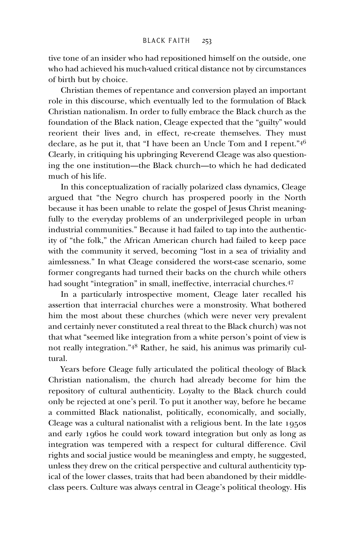tive tone of an insider who had repositioned himself on the outside, one who had achieved his much-valued critical distance not by circumstances of birth but by choice.

Christian themes of repentance and conversion played an important role in this discourse, which eventually led to the formulation of Black Christian nationalism. In order to fully embrace the Black church as the foundation of the Black nation, Cleage expected that the "guilty" would reorient their lives and, in effect, re-create themselves. They must declare, as he put it, that "I have been an Uncle Tom and I repent."46 Clearly, in critiquing his upbringing Reverend Cleage was also questioning the one institution—the Black church—to which he had dedicated much of his life.

In this conceptualization of racially polarized class dynamics, Cleage argued that "the Negro church has prospered poorly in the North because it has been unable to relate the gospel of Jesus Christ meaningfully to the everyday problems of an underprivileged people in urban industrial communities." Because it had failed to tap into the authenticity of "the folk," the African American church had failed to keep pace with the community it served, becoming "lost in a sea of triviality and aimlessness." In what Cleage considered the worst-case scenario, some former congregants had turned their backs on the church while others had sought "integration" in small, ineffective, interracial churches.<sup>47</sup>

In a particularly introspective moment, Cleage later recalled his assertion that interracial churches were a monstrosity. What bothered him the most about these churches (which were never very prevalent and certainly never constituted a real threat to the Black church) was not that what "seemed like integration from a white person's point of view is not really integration."<sup>48</sup> Rather, he said, his animus was primarily cultural.

Years before Cleage fully articulated the political theology of Black Christian nationalism, the church had already become for him the repository of cultural authenticity. Loyalty to the Black church could only be rejected at one's peril. To put it another way, before he became a committed Black nationalist, politically, economically, and socially, Cleage was a cultural nationalist with a religious bent. In the late 1950s and early 1960s he could work toward integration but only as long as integration was tempered with a respect for cultural difference. Civil rights and social justice would be meaningless and empty, he suggested, unless they drew on the critical perspective and cultural authenticity typical of the lower classes, traits that had been abandoned by their middleclass peers. Culture was always central in Cleage's political theology. His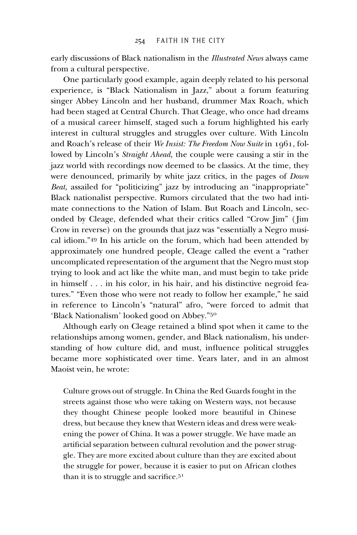early discussions of Black nationalism in the *Illustrated News* always came from a cultural perspective.

One particularly good example, again deeply related to his personal experience, is "Black Nationalism in Jazz," about a forum featuring singer Abbey Lincoln and her husband, drummer Max Roach, which had been staged at Central Church. That Cleage, who once had dreams of a musical career himself, staged such a forum highlighted his early interest in cultural struggles and struggles over culture. With Lincoln and Roach's release of their *We Insist: The Freedom Now Suite* in 1961, followed by Lincoln's *Straight Ahead,* the couple were causing a stir in the jazz world with recordings now deemed to be classics. At the time, they were denounced, primarily by white jazz critics, in the pages of *Down Beat,* assailed for "politicizing" jazz by introducing an "inappropriate" Black nationalist perspective. Rumors circulated that the two had intimate connections to the Nation of Islam. But Roach and Lincoln, seconded by Cleage, defended what their critics called "Crow Jim" ( Jim Crow in reverse) on the grounds that jazz was "essentially a Negro musical idiom."<sup>49</sup> In his article on the forum, which had been attended by approximately one hundred people, Cleage called the event a "rather uncomplicated representation of the argument that the Negro must stop trying to look and act like the white man, and must begin to take pride in himself . . . in his color, in his hair, and his distinctive negroid features." "Even those who were not ready to follow her example," he said in reference to Lincoln's "natural" afro, "were forced to admit that 'Black Nationalism' looked good on Abbey."<sup>50</sup>

Although early on Cleage retained a blind spot when it came to the relationships among women, gender, and Black nationalism, his understanding of how culture did, and must, influence political struggles became more sophisticated over time. Years later, and in an almost Maoist vein, he wrote:

Culture grows out of struggle. In China the Red Guards fought in the streets against those who were taking on Western ways, not because they thought Chinese people looked more beautiful in Chinese dress, but because they knew that Western ideas and dress were weakening the power of China. It was a power struggle. We have made an artificial separation between cultural revolution and the power struggle. They are more excited about culture than they are excited about the struggle for power, because it is easier to put on African clothes than it is to struggle and sacrifice. $5<sup>1</sup>$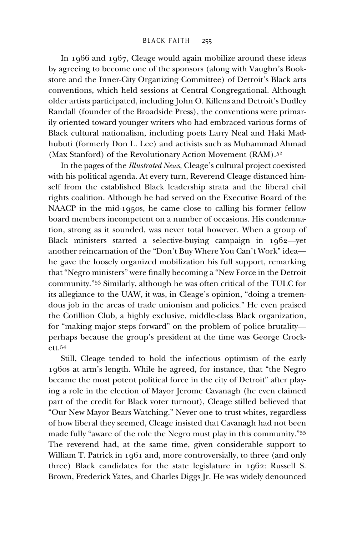In 1966 and 1967, Cleage would again mobilize around these ideas by agreeing to become one of the sponsors (along with Vaughn's Bookstore and the Inner-City Organizing Committee) of Detroit's Black arts conventions, which held sessions at Central Congregational. Although older artists participated, including John O. Killens and Detroit's Dudley Randall (founder of the Broadside Press), the conventions were primarily oriented toward younger writers who had embraced various forms of Black cultural nationalism, including poets Larry Neal and Haki Madhubuti (formerly Don L. Lee) and activists such as Muhammad Ahmad (Max Stanford) of the Revolutionary Action Movement (RAM).52

In the pages of the *Illustrated News,* Cleage's cultural project coexisted with his political agenda. At every turn, Reverend Cleage distanced himself from the established Black leadership strata and the liberal civil rights coalition. Although he had served on the Executive Board of the NAACP in the mid-1950s, he came close to calling his former fellow board members incompetent on a number of occasions. His condemnation, strong as it sounded, was never total however. When a group of Black ministers started a selective-buying campaign in 1962—yet another reincarnation of the "Don't Buy Where You Can't Work" idea he gave the loosely organized mobilization his full support, remarking that "Negro ministers" were finally becoming a "New Force in the Detroit community."<sup>53</sup> Similarly, although he was often critical of the TULC for its allegiance to the UAW, it was, in Cleage's opinion, "doing a tremendous job in the areas of trade unionism and policies." He even praised the Cotillion Club, a highly exclusive, middle-class Black organization, for "making major steps forward" on the problem of police brutality perhaps because the group's president at the time was George Crockett.<sup>54</sup>

Still, Cleage tended to hold the infectious optimism of the early 1960s at arm's length. While he agreed, for instance, that "the Negro became the most potent political force in the city of Detroit" after playing a role in the election of Mayor Jerome Cavanagh (he even claimed part of the credit for Black voter turnout), Cleage stilled believed that "Our New Mayor Bears Watching." Never one to trust whites, regardless of how liberal they seemed, Cleage insisted that Cavanagh had not been made fully "aware of the role the Negro must play in this community."<sup>55</sup> The reverend had, at the same time, given considerable support to William T. Patrick in 1961 and, more controversially, to three (and only three) Black candidates for the state legislature in 1962: Russell S. Brown, Frederick Yates, and Charles Diggs Jr. He was widely denounced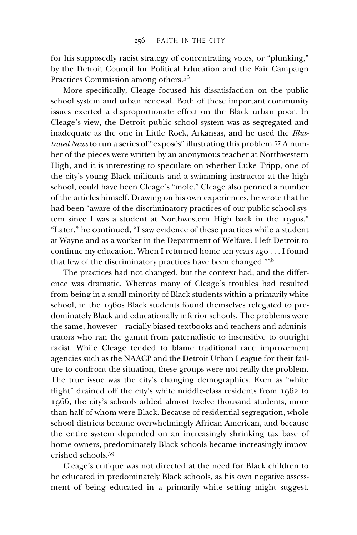for his supposedly racist strategy of concentrating votes, or "plunking," by the Detroit Council for Political Education and the Fair Campaign Practices Commission among others.56

More specifically, Cleage focused his dissatisfaction on the public school system and urban renewal. Both of these important community issues exerted a disproportionate effect on the Black urban poor. In Cleage's view, the Detroit public school system was as segregated and inadequate as the one in Little Rock, Arkansas, and he used the *Illustrated News* to run a series of "exposés" illustrating this problem.<sup>57</sup> A number of the pieces were written by an anonymous teacher at Northwestern High, and it is interesting to speculate on whether Luke Tripp, one of the city's young Black militants and a swimming instructor at the high school, could have been Cleage's "mole." Cleage also penned a number of the articles himself. Drawing on his own experiences, he wrote that he had been "aware of the discriminatory practices of our public school system since I was a student at Northwestern High back in the 1930s." "Later," he continued, "I saw evidence of these practices while a student at Wayne and as a worker in the Department of Welfare. I left Detroit to continue my education. When I returned home ten years ago . . . I found that few of the discriminatory practices have been changed." $5<sup>8</sup>$ 

The practices had not changed, but the context had, and the difference was dramatic. Whereas many of Cleage's troubles had resulted from being in a small minority of Black students within a primarily white school, in the 1960s Black students found themselves relegated to predominately Black and educationally inferior schools. The problems were the same, however—racially biased textbooks and teachers and administrators who ran the gamut from paternalistic to insensitive to outright racist. While Cleage tended to blame traditional race improvement agencies such as the NAACP and the Detroit Urban League for their failure to confront the situation, these groups were not really the problem. The true issue was the city's changing demographics. Even as "white flight" drained off the city's white middle-class residents from 1962 to 1966, the city's schools added almost twelve thousand students, more than half of whom were Black. Because of residential segregation, whole school districts became overwhelmingly African American, and because the entire system depended on an increasingly shrinking tax base of home owners, predominately Black schools became increasingly impoverished schools.<sup>59</sup>

Cleage's critique was not directed at the need for Black children to be educated in predominately Black schools, as his own negative assessment of being educated in a primarily white setting might suggest.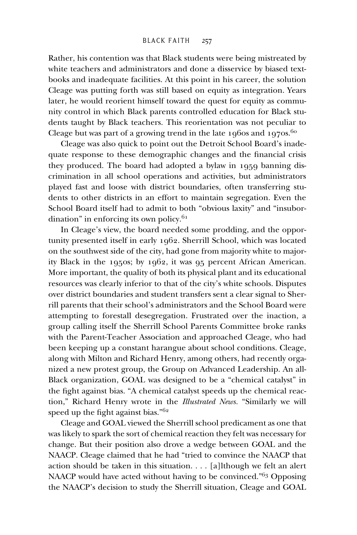Rather, his contention was that Black students were being mistreated by white teachers and administrators and done a disservice by biased textbooks and inadequate facilities. At this point in his career, the solution Cleage was putting forth was still based on equity as integration. Years later, he would reorient himself toward the quest for equity as community control in which Black parents controlled education for Black students taught by Black teachers. This reorientation was not peculiar to Cleage but was part of a growing trend in the late 1960s and 1970s.<sup>60</sup>

Cleage was also quick to point out the Detroit School Board's inadequate response to these demographic changes and the financial crisis they produced. The board had adopted a bylaw in 1959 banning discrimination in all school operations and activities, but administrators played fast and loose with district boundaries, often transferring students to other districts in an effort to maintain segregation. Even the School Board itself had to admit to both "obvious laxity" and "insubordination" in enforcing its own policy. $61$ 

In Cleage's view, the board needed some prodding, and the opportunity presented itself in early 1962. Sherrill School, which was located on the southwest side of the city, had gone from majority white to majority Black in the 1950s; by 1962, it was 95 percent African American. More important, the quality of both its physical plant and its educational resources was clearly inferior to that of the city's white schools. Disputes over district boundaries and student transfers sent a clear signal to Sherrill parents that their school's administrators and the School Board were attempting to forestall desegregation. Frustrated over the inaction, a group calling itself the Sherrill School Parents Committee broke ranks with the Parent-Teacher Association and approached Cleage, who had been keeping up a constant harangue about school conditions. Cleage, along with Milton and Richard Henry, among others, had recently organized a new protest group, the Group on Advanced Leadership. An all-Black organization, GOAL was designed to be a "chemical catalyst" in the fight against bias. "A chemical catalyst speeds up the chemical reaction," Richard Henry wrote in the *Illustrated News.* "Similarly we will speed up the fight against bias." $62$ 

Cleage and GOAL viewed the Sherrill school predicament as one that was likely to spark the sort of chemical reaction they felt was necessary for change. But their position also drove a wedge between GOAL and the NAACP. Cleage claimed that he had "tried to convince the NAACP that action should be taken in this situation. . . . [a]lthough we felt an alert NAACP would have acted without having to be convinced."<sup>63</sup> Opposing the NAACP's decision to study the Sherrill situation, Cleage and GOAL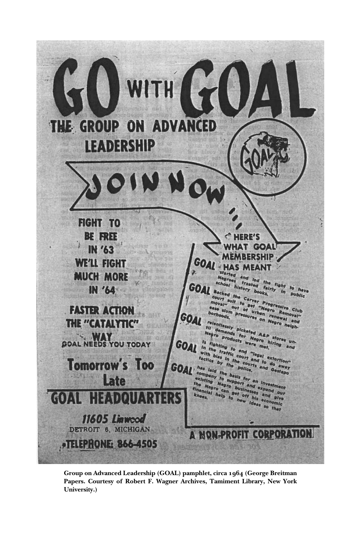

**Group on Advanced Leadership (GOAL) pamphlet, circa 1964 (George Breitman Papers. Courtesy of Robert F. Wagner Archives, Tamiment Library, New York University.)**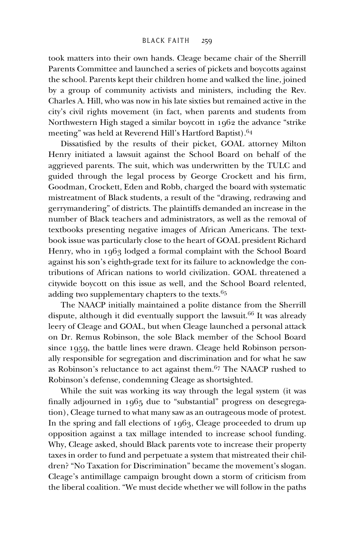took matters into their own hands. Cleage became chair of the Sherrill Parents Committee and launched a series of pickets and boycotts against the school. Parents kept their children home and walked the line, joined by a group of community activists and ministers, including the Rev. Charles A. Hill, who was now in his late sixties but remained active in the city's civil rights movement (in fact, when parents and students from Northwestern High staged a similar boycott in 1962 the advance "strike meeting" was held at Reverend Hill's Hartford Baptist).<sup>64</sup>

Dissatisfied by the results of their picket, GOAL attorney Milton Henry initiated a lawsuit against the School Board on behalf of the aggrieved parents. The suit, which was underwritten by the TULC and guided through the legal process by George Crockett and his firm, Goodman, Crockett, Eden and Robb, charged the board with systematic mistreatment of Black students, a result of the "drawing, redrawing and gerrymandering" of districts. The plaintiffs demanded an increase in the number of Black teachers and administrators, as well as the removal of textbooks presenting negative images of African Americans. The textbook issue was particularly close to the heart of GOAL president Richard Henry, who in 1963 lodged a formal complaint with the School Board against his son's eighth-grade text for its failure to acknowledge the contributions of African nations to world civilization. GOAL threatened a citywide boycott on this issue as well, and the School Board relented, adding two supplementary chapters to the texts. $65$ 

The NAACP initially maintained a polite distance from the Sherrill dispute, although it did eventually support the lawsuit.<sup>66</sup> It was already leery of Cleage and GOAL, but when Cleage launched a personal attack on Dr. Remus Robinson, the sole Black member of the School Board since 1959, the battle lines were drawn. Cleage held Robinson personally responsible for segregation and discrimination and for what he saw as Robinson's reluctance to act against them.67 The NAACP rushed to Robinson's defense, condemning Cleage as shortsighted.

While the suit was working its way through the legal system (it was finally adjourned in 1965 due to "substantial" progress on desegregation), Cleage turned to what many saw as an outrageous mode of protest. In the spring and fall elections of 1963, Cleage proceeded to drum up opposition against a tax millage intended to increase school funding. Why, Cleage asked, should Black parents vote to increase their property taxes in order to fund and perpetuate a system that mistreated their children? "No Taxation for Discrimination" became the movement's slogan. Cleage's antimillage campaign brought down a storm of criticism from the liberal coalition. "We must decide whether we will follow in the paths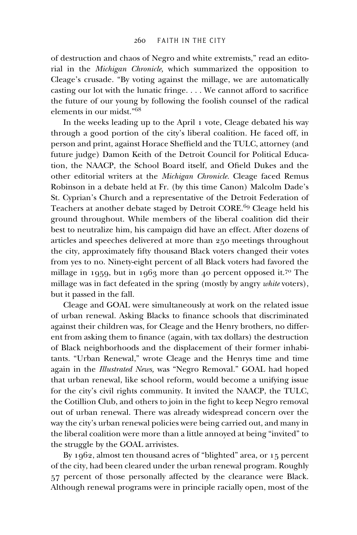of destruction and chaos of Negro and white extremists," read an editorial in the *Michigan Chronicle,* which summarized the opposition to Cleage's crusade. "By voting against the millage, we are automatically casting our lot with the lunatic fringe.  $\ldots$  We cannot afford to sacrifice the future of our young by following the foolish counsel of the radical elements in our midst."<sup>68</sup>

In the weeks leading up to the April 1 vote, Cleage debated his way through a good portion of the city's liberal coalition. He faced off, in person and print, against Horace Sheffield and the TULC, attorney (and future judge) Damon Keith of the Detroit Council for Political Education, the NAACP, the School Board itself, and Ofield Dukes and the other editorial writers at the *Michigan Chronicle.* Cleage faced Remus Robinson in a debate held at Fr. (by this time Canon) Malcolm Dade's St. Cyprian's Church and a representative of the Detroit Federation of Teachers at another debate staged by Detroit CORE.<sup>69</sup> Cleage held his ground throughout. While members of the liberal coalition did their best to neutralize him, his campaign did have an effect. After dozens of articles and speeches delivered at more than 250 meetings throughout the city, approximately fifty thousand Black voters changed their votes from yes to no. Ninety-eight percent of all Black voters had favored the millage in 1959, but in 1963 more than 40 percent opposed it.<sup>70</sup> The millage was in fact defeated in the spring (mostly by angry *white* voters), but it passed in the fall.

Cleage and GOAL were simultaneously at work on the related issue of urban renewal. Asking Blacks to finance schools that discriminated against their children was, for Cleage and the Henry brothers, no different from asking them to finance (again, with tax dollars) the destruction of Black neighborhoods and the displacement of their former inhabitants. "Urban Renewal," wrote Cleage and the Henrys time and time again in the *Illustrated News,* was "Negro Removal." GOAL had hoped that urban renewal, like school reform, would become a unifying issue for the city's civil rights community. It invited the NAACP, the TULC, the Cotillion Club, and others to join in the fight to keep Negro removal out of urban renewal. There was already widespread concern over the way the city's urban renewal policies were being carried out, and many in the liberal coalition were more than a little annoyed at being "invited" to the struggle by the GOAL arrivistes.

By 1962, almost ten thousand acres of "blighted" area, or 15 percent of the city, had been cleared under the urban renewal program. Roughly 57 percent of those personally affected by the clearance were Black. Although renewal programs were in principle racially open, most of the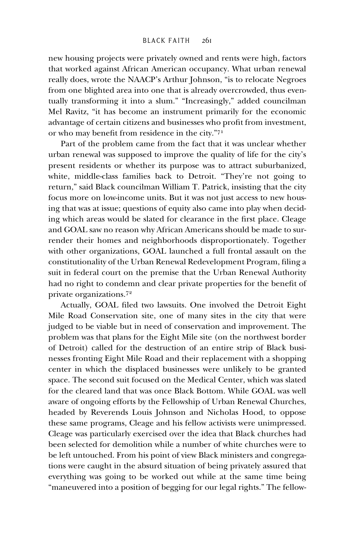new housing projects were privately owned and rents were high, factors that worked against African American occupancy. What urban renewal really does, wrote the NAACP's Arthur Johnson, "is to relocate Negroes from one blighted area into one that is already overcrowded, thus eventually transforming it into a slum." "Increasingly," added councilman Mel Ravitz, "it has become an instrument primarily for the economic advantage of certain citizens and businesses who profit from investment, or who may benefit from residence in the city." $7<sup>1</sup>$ 

Part of the problem came from the fact that it was unclear whether urban renewal was supposed to improve the quality of life for the city's present residents or whether its purpose was to attract suburbanized, white, middle-class families back to Detroit. "They're not going to return," said Black councilman William T. Patrick, insisting that the city focus more on low-income units. But it was not just access to new housing that was at issue; questions of equity also came into play when deciding which areas would be slated for clearance in the first place. Cleage and GOAL saw no reason why African Americans should be made to surrender their homes and neighborhoods disproportionately. Together with other organizations, GOAL launched a full frontal assault on the constitutionality of the Urban Renewal Redevelopment Program, filing a suit in federal court on the premise that the Urban Renewal Authority had no right to condemn and clear private properties for the benefit of private organizations.72

Actually, GOAL filed two lawsuits. One involved the Detroit Eight Mile Road Conservation site, one of many sites in the city that were judged to be viable but in need of conservation and improvement. The problem was that plans for the Eight Mile site (on the northwest border of Detroit) called for the destruction of an entire strip of Black businesses fronting Eight Mile Road and their replacement with a shopping center in which the displaced businesses were unlikely to be granted space. The second suit focused on the Medical Center, which was slated for the cleared land that was once Black Bottom. While GOAL was well aware of ongoing efforts by the Fellowship of Urban Renewal Churches, headed by Reverends Louis Johnson and Nicholas Hood, to oppose these same programs, Cleage and his fellow activists were unimpressed. Cleage was particularly exercised over the idea that Black churches had been selected for demolition while a number of white churches were to be left untouched. From his point of view Black ministers and congregations were caught in the absurd situation of being privately assured that everything was going to be worked out while at the same time being "maneuvered into a position of begging for our legal rights." The fellow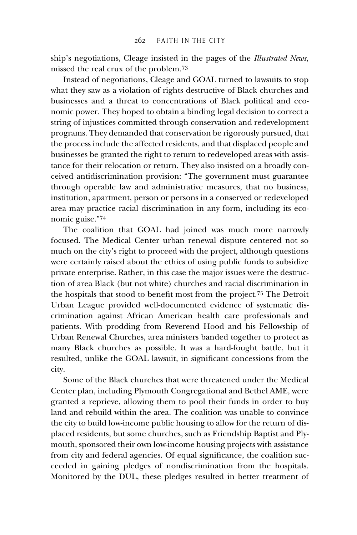ship's negotiations, Cleage insisted in the pages of the *Illustrated News,* missed the real crux of the problem.<sup>73</sup>

Instead of negotiations, Cleage and GOAL turned to lawsuits to stop what they saw as a violation of rights destructive of Black churches and businesses and a threat to concentrations of Black political and economic power. They hoped to obtain a binding legal decision to correct a string of injustices committed through conservation and redevelopment programs. They demanded that conservation be rigorously pursued, that the process include the affected residents, and that displaced people and businesses be granted the right to return to redeveloped areas with assistance for their relocation or return. They also insisted on a broadly conceived antidiscrimination provision: "The government must guarantee through operable law and administrative measures, that no business, institution, apartment, person or persons in a conserved or redeveloped area may practice racial discrimination in any form, including its economic guise."<sup>74</sup>

The coalition that GOAL had joined was much more narrowly focused. The Medical Center urban renewal dispute centered not so much on the city's right to proceed with the project, although questions were certainly raised about the ethics of using public funds to subsidize private enterprise. Rather, in this case the major issues were the destruction of area Black (but not white) churches and racial discrimination in the hospitals that stood to benefit most from the project.<sup>75</sup> The Detroit Urban League provided well-documented evidence of systematic discrimination against African American health care professionals and patients. With prodding from Reverend Hood and his Fellowship of Urban Renewal Churches, area ministers banded together to protect as many Black churches as possible. It was a hard-fought battle, but it resulted, unlike the GOAL lawsuit, in significant concessions from the city.

Some of the Black churches that were threatened under the Medical Center plan, including Plymouth Congregational and Bethel AME, were granted a reprieve, allowing them to pool their funds in order to buy land and rebuild within the area. The coalition was unable to convince the city to build low-income public housing to allow for the return of displaced residents, but some churches, such as Friendship Baptist and Plymouth, sponsored their own low-income housing projects with assistance from city and federal agencies. Of equal significance, the coalition succeeded in gaining pledges of nondiscrimination from the hospitals. Monitored by the DUL, these pledges resulted in better treatment of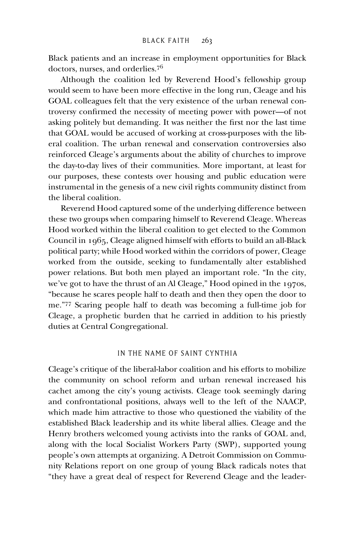Black patients and an increase in employment opportunities for Black doctors, nurses, and orderlies.<sup>76</sup>

Although the coalition led by Reverend Hood's fellowship group would seem to have been more effective in the long run, Cleage and his GOAL colleagues felt that the very existence of the urban renewal controversy confirmed the necessity of meeting power with power—of not asking politely but demanding. It was neither the first nor the last time that GOAL would be accused of working at cross-purposes with the liberal coalition. The urban renewal and conservation controversies also reinforced Cleage's arguments about the ability of churches to improve the day-to-day lives of their communities. More important, at least for our purposes, these contests over housing and public education were instrumental in the genesis of a new civil rights community distinct from the liberal coalition.

Reverend Hood captured some of the underlying difference between these two groups when comparing himself to Reverend Cleage. Whereas Hood worked within the liberal coalition to get elected to the Common Council in 1965, Cleage aligned himself with efforts to build an all-Black political party; while Hood worked within the corridors of power, Cleage worked from the outside, seeking to fundamentally alter established power relations. But both men played an important role. "In the city, we've got to have the thrust of an Al Cleage," Hood opined in the 1970s, "because he scares people half to death and then they open the door to me."<sup>77</sup> Scaring people half to death was becoming a full-time job for Cleage, a prophetic burden that he carried in addition to his priestly duties at Central Congregational.

### IN THE NAME OF SAINT CYNTHIA

Cleage's critique of the liberal-labor coalition and his efforts to mobilize the community on school reform and urban renewal increased his cachet among the city's young activists. Cleage took seemingly daring and confrontational positions, always well to the left of the NAACP, which made him attractive to those who questioned the viability of the established Black leadership and its white liberal allies. Cleage and the Henry brothers welcomed young activists into the ranks of GOAL and, along with the local Socialist Workers Party (SWP), supported young people's own attempts at organizing. A Detroit Commission on Community Relations report on one group of young Black radicals notes that "they have a great deal of respect for Reverend Cleage and the leader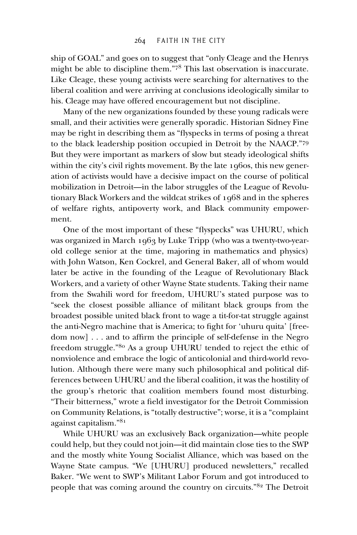ship of GOAL" and goes on to suggest that "only Cleage and the Henrys might be able to discipline them." $7<sup>8</sup>$  This last observation is inaccurate. Like Cleage, these young activists were searching for alternatives to the liberal coalition and were arriving at conclusions ideologically similar to his. Cleage may have offered encouragement but not discipline.

Many of the new organizations founded by these young radicals were small, and their activities were generally sporadic. Historian Sidney Fine may be right in describing them as "flyspecks in terms of posing a threat to the black leadership position occupied in Detroit by the NAACP."<sup>79</sup> But they were important as markers of slow but steady ideological shifts within the city's civil rights movement. By the late 1960s, this new generation of activists would have a decisive impact on the course of political mobilization in Detroit—in the labor struggles of the League of Revolutionary Black Workers and the wildcat strikes of 1968 and in the spheres of welfare rights, antipoverty work, and Black community empowerment.

One of the most important of these "flyspecks" was UHURU, which was organized in March 1963 by Luke Tripp (who was a twenty-two-yearold college senior at the time, majoring in mathematics and physics) with John Watson, Ken Cockrel, and General Baker, all of whom would later be active in the founding of the League of Revolutionary Black Workers, and a variety of other Wayne State students. Taking their name from the Swahili word for freedom, UHURU's stated purpose was to "seek the closest possible alliance of militant black groups from the broadest possible united black front to wage a tit-for-tat struggle against the anti-Negro machine that is America; to fight for 'uhuru quita' [freedom now] . . . and to affirm the principle of self-defense in the Negro freedom struggle."<sup>80</sup> As a group UHURU tended to reject the ethic of nonviolence and embrace the logic of anticolonial and third-world revolution. Although there were many such philosophical and political differences between UHURU and the liberal coalition, it was the hostility of the group's rhetoric that coalition members found most disturbing. "Their bitterness," wrote a field investigator for the Detroit Commission on Community Relations, is "totally destructive"; worse, it is a "complaint against capitalism."81

While UHURU was an exclusively Back organization—white people could help, but they could not join—it did maintain close ties to the SWP and the mostly white Young Socialist Alliance, which was based on the Wayne State campus. "We [UHURU] produced newsletters," recalled Baker. "We went to SWP's Militant Labor Forum and got introduced to people that was coming around the country on circuits."<sup>82</sup> The Detroit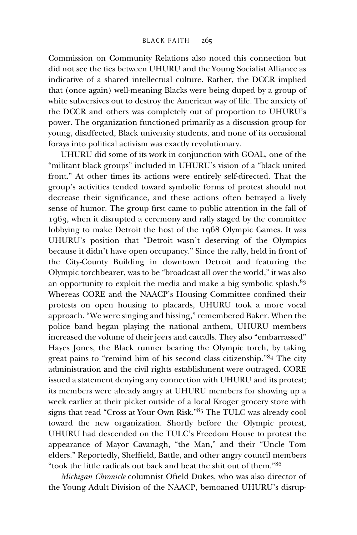Commission on Community Relations also noted this connection but did not see the ties between UHURU and the Young Socialist Alliance as indicative of a shared intellectual culture. Rather, the DCCR implied that (once again) well-meaning Blacks were being duped by a group of white subversives out to destroy the American way of life. The anxiety of the DCCR and others was completely out of proportion to UHURU's power. The organization functioned primarily as a discussion group for young, disaffected, Black university students, and none of its occasional forays into political activism was exactly revolutionary.

UHURU did some of its work in conjunction with GOAL, one of the "militant black groups" included in UHURU's vision of a "black united front." At other times its actions were entirely self-directed. That the group's activities tended toward symbolic forms of protest should not decrease their significance, and these actions often betrayed a lively sense of humor. The group first came to public attention in the fall of 1963, when it disrupted a ceremony and rally staged by the committee lobbying to make Detroit the host of the 1968 Olympic Games. It was UHURU's position that "Detroit wasn't deserving of the Olympics because it didn't have open occupancy." Since the rally, held in front of the City-County Building in downtown Detroit and featuring the Olympic torchbearer, was to be "broadcast all over the world," it was also an opportunity to exploit the media and make a big symbolic splash.<sup>83</sup> Whereas CORE and the NAACP's Housing Committee confined their protests on open housing to placards, UHURU took a more vocal approach. "We were singing and hissing," remembered Baker. When the police band began playing the national anthem, UHURU members increased the volume of their jeers and catcalls. They also "embarrassed" Hayes Jones, the Black runner bearing the Olympic torch, by taking great pains to "remind him of his second class citizenship."<sup>84</sup> The city administration and the civil rights establishment were outraged. CORE issued a statement denying any connection with UHURU and its protest; its members were already angry at UHURU members for showing up a week earlier at their picket outside of a local Kroger grocery store with signs that read "Cross at Your Own Risk."<sup>85</sup> The TULC was already cool toward the new organization. Shortly before the Olympic protest, UHURU had descended on the TULC's Freedom House to protest the appearance of Mayor Cavanagh, "the Man," and their "Uncle Tom elders." Reportedly, Sheffield, Battle, and other angry council members "took the little radicals out back and beat the shit out of them."<sup>86</sup>

*Michigan Chronicle* columnist Ofield Dukes, who was also director of the Young Adult Division of the NAACP, bemoaned UHURU's disrup-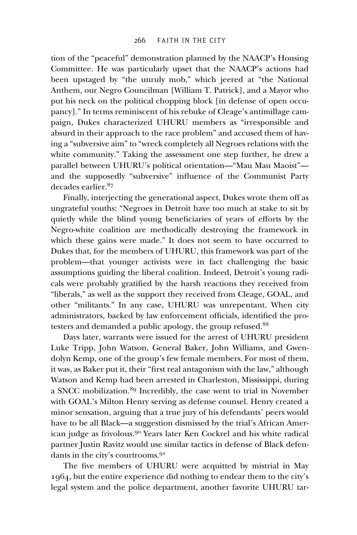tion of the "peaceful" demonstration planned by the NAACP's Housing Committee. He was particularly upset that the NAACP's actions had been upstaged by "the unruly mob," which jeered at "the National Anthem, our Negro Councilman [William T. Patrick], and a Mayor who put his neck on the political chopping block [in defense of open occupancy]." In terms reminiscent of his rebuke of Cleage's antimillage campaign, Dukes characterized UHURU members as "irresponsible and absurd in their approach to the race problem" and accused them of having a "subversive aim" to "wreck completely all Negroes relations with the white community." Taking the assessment one step further, he drew a parallel between UHURU's political orientation—"Mau Mau Maoist" and the supposedly "subversive" influence of the Communist Party decades earlier.87

Finally, interjecting the generational aspect, Dukes wrote them off as ungrateful youths: "Negroes in Detroit have too much at stake to sit by quietly while the blind young beneficiaries of years of efforts by the Negro-white coalition are methodically destroying the framework in which these gains were made." It does not seem to have occurred to Dukes that, for the members of UHURU, this framework was part of the problem—that younger activists were in fact challenging the basic assumptions guiding the liberal coalition. Indeed, Detroit's young radicals were probably gratified by the harsh reactions they received from "liberals," as well as the support they received from Cleage, GOAL, and other "militants." In any case, UHURU was unrepentant. When city administrators, backed by law enforcement officials, identified the protesters and demanded a public apology, the group refused.<sup>88</sup>

Days later, warrants were issued for the arrest of UHURU president Luke Tripp, John Watson, General Baker, John Williams, and Gwendolyn Kemp, one of the group's few female members. For most of them, it was, as Baker put it, their "first real antagonism with the law," although Watson and Kemp had been arrested in Charleston, Mississippi, during a SNCC mobilization.<sup>89</sup> Incredibly, the case went to trial in November with GOAL's Milton Henry serving as defense counsel. Henry created a minor sensation, arguing that a true jury of his defendants' peers would have to be all Black—a suggestion dismissed by the trial's African American judge as frivolous.<sup>90</sup> Years later Ken Cockrel and his white radical partner Justin Ravitz would use similar tactics in defense of Black defendants in the city's courtrooms.<sup>91</sup>

The five members of UHURU were acquitted by mistrial in May 1964, but the entire experience did nothing to endear them to the city's legal system and the police department, another favorite UHURU tar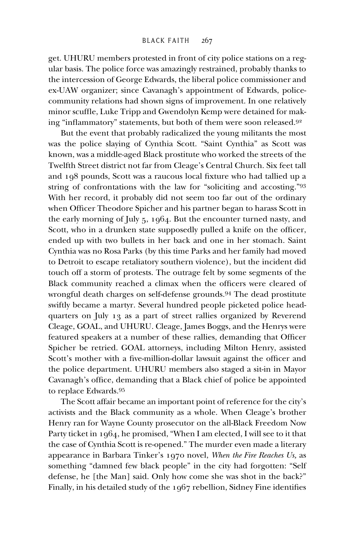get. UHURU members protested in front of city police stations on a regular basis. The police force was amazingly restrained, probably thanks to the intercession of George Edwards, the liberal police commissioner and ex-UAW organizer; since Cavanagh's appointment of Edwards, policecommunity relations had shown signs of improvement. In one relatively minor scuffle, Luke Tripp and Gwendolyn Kemp were detained for making "inflammatory" statements, but both of them were soon released.<sup>92</sup>

But the event that probably radicalized the young militants the most was the police slaying of Cynthia Scott. "Saint Cynthia" as Scott was known, was a middle-aged Black prostitute who worked the streets of the Twelfth Street district not far from Cleage's Central Church. Six feet tall and 198 pounds, Scott was a raucous local fixture who had tallied up a string of confrontations with the law for "soliciting and accosting."<sup>93</sup> With her record, it probably did not seem too far out of the ordinary when Officer Theodore Spicher and his partner began to harass Scott in the early morning of July 5, 1964. But the encounter turned nasty, and Scott, who in a drunken state supposedly pulled a knife on the officer, ended up with two bullets in her back and one in her stomach. Saint Cynthia was no Rosa Parks (by this time Parks and her family had moved to Detroit to escape retaliatory southern violence), but the incident did touch off a storm of protests. The outrage felt by some segments of the Black community reached a climax when the officers were cleared of wrongful death charges on self-defense grounds.94 The dead prostitute swiftly became a martyr. Several hundred people picketed police headquarters on July 13 as a part of street rallies organized by Reverend Cleage, GOAL, and UHURU. Cleage, James Boggs, and the Henrys were featured speakers at a number of these rallies, demanding that Officer Spicher be retried. GOAL attorneys, including Milton Henry, assisted Scott's mother with a five-million-dollar lawsuit against the officer and the police department. UHURU members also staged a sit-in in Mayor Cavanagh's office, demanding that a Black chief of police be appointed to replace Edwards.95

The Scott affair became an important point of reference for the city's activists and the Black community as a whole. When Cleage's brother Henry ran for Wayne County prosecutor on the all-Black Freedom Now Party ticket in 1964, he promised, "When I am elected, I will see to it that the case of Cynthia Scott is re-opened." The murder even made a literary appearance in Barbara Tinker's 1970 novel, *When the Fire Reaches Us,* as something "damned few black people" in the city had forgotten: "Self defense, he [the Man] said. Only how come she was shot in the back?" Finally, in his detailed study of the 1967 rebellion, Sidney Fine identifies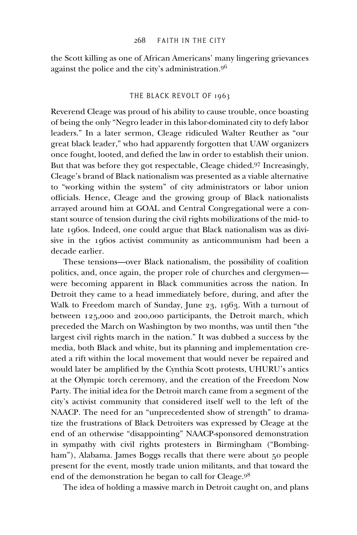### 268 FAITH IN THE CITY

the Scott killing as one of African Americans' many lingering grievances against the police and the city's administration.<sup>96</sup>

## THE BLACK REVOLT OF 1963

Reverend Cleage was proud of his ability to cause trouble, once boasting of being the only "Negro leader in this labor-dominated city to defy labor leaders." In a later sermon, Cleage ridiculed Walter Reuther as "our great black leader," who had apparently forgotten that UAW organizers once fought, looted, and defied the law in order to establish their union. But that was before they got respectable, Cleage chided.97 Increasingly, Cleage's brand of Black nationalism was presented as a viable alternative to "working within the system" of city administrators or labor union officials. Hence, Cleage and the growing group of Black nationalists arrayed around him at GOAL and Central Congregational were a constant source of tension during the civil rights mobilizations of the mid- to late 1960s. Indeed, one could argue that Black nationalism was as divisive in the 1960s activist community as anticommunism had been a decade earlier.

These tensions—over Black nationalism, the possibility of coalition politics, and, once again, the proper role of churches and clergymen were becoming apparent in Black communities across the nation. In Detroit they came to a head immediately before, during, and after the Walk to Freedom march of Sunday, June 23, 1963. With a turnout of between 125,000 and 200,000 participants, the Detroit march, which preceded the March on Washington by two months, was until then "the largest civil rights march in the nation." It was dubbed a success by the media, both Black and white, but its planning and implementation created a rift within the local movement that would never be repaired and would later be amplified by the Cynthia Scott protests, UHURU's antics at the Olympic torch ceremony, and the creation of the Freedom Now Party. The initial idea for the Detroit march came from a segment of the city's activist community that considered itself well to the left of the NAACP. The need for an "unprecedented show of strength" to dramatize the frustrations of Black Detroiters was expressed by Cleage at the end of an otherwise "disappointing" NAACP-sponsored demonstration in sympathy with civil rights protesters in Birmingham ("Bombingham"), Alabama. James Boggs recalls that there were about 50 people present for the event, mostly trade union militants, and that toward the end of the demonstration he began to call for Cleage.98

The idea of holding a massive march in Detroit caught on, and plans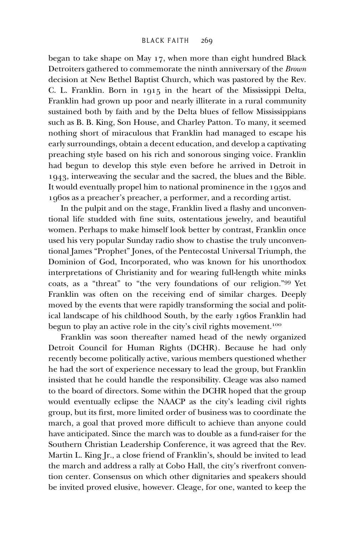began to take shape on May 17, when more than eight hundred Black Detroiters gathered to commemorate the ninth anniversary of the *Brown* decision at New Bethel Baptist Church, which was pastored by the Rev. C. L. Franklin. Born in 1915 in the heart of the Mississippi Delta, Franklin had grown up poor and nearly illiterate in a rural community sustained both by faith and by the Delta blues of fellow Mississippians such as B. B. King, Son House, and Charley Patton. To many, it seemed nothing short of miraculous that Franklin had managed to escape his early surroundings, obtain a decent education, and develop a captivating preaching style based on his rich and sonorous singing voice. Franklin had begun to develop this style even before he arrived in Detroit in 1943, interweaving the secular and the sacred, the blues and the Bible. It would eventually propel him to national prominence in the 1950s and 1960s as a preacher's preacher, a performer, and a recording artist.

In the pulpit and on the stage, Franklin lived a flashy and unconventional life studded with fine suits, ostentatious jewelry, and beautiful women. Perhaps to make himself look better by contrast, Franklin once used his very popular Sunday radio show to chastise the truly unconventional James "Prophet" Jones, of the Pentecostal Universal Triumph, the Dominion of God, Incorporated, who was known for his unorthodox interpretations of Christianity and for wearing full-length white minks coats, as a "threat" to "the very foundations of our religion."<sup>99</sup> Yet Franklin was often on the receiving end of similar charges. Deeply moved by the events that were rapidly transforming the social and political landscape of his childhood South, by the early 1960s Franklin had begun to play an active role in the city's civil rights movement.<sup>100</sup>

Franklin was soon thereafter named head of the newly organized Detroit Council for Human Rights (DCHR). Because he had only recently become politically active, various members questioned whether he had the sort of experience necessary to lead the group, but Franklin insisted that he could handle the responsibility. Cleage was also named to the board of directors. Some within the DCHR hoped that the group would eventually eclipse the NAACP as the city's leading civil rights group, but its first, more limited order of business was to coordinate the march, a goal that proved more difficult to achieve than anyone could have anticipated. Since the march was to double as a fund-raiser for the Southern Christian Leadership Conference, it was agreed that the Rev. Martin L. King Jr., a close friend of Franklin's, should be invited to lead the march and address a rally at Cobo Hall, the city's riverfront convention center. Consensus on which other dignitaries and speakers should be invited proved elusive, however. Cleage, for one, wanted to keep the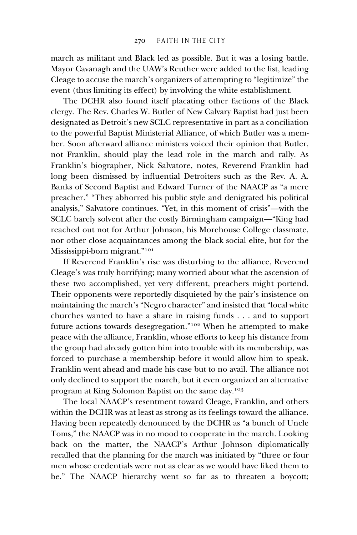march as militant and Black led as possible. But it was a losing battle. Mayor Cavanagh and the UAW's Reuther were added to the list, leading Cleage to accuse the march's organizers of attempting to "legitimize" the event (thus limiting its effect) by involving the white establishment.

The DCHR also found itself placating other factions of the Black clergy. The Rev. Charles W. Butler of New Calvary Baptist had just been designated as Detroit's new SCLC representative in part as a conciliation to the powerful Baptist Ministerial Alliance, of which Butler was a member. Soon afterward alliance ministers voiced their opinion that Butler, not Franklin, should play the lead role in the march and rally. As Franklin's biographer, Nick Salvatore, notes, Reverend Franklin had long been dismissed by influential Detroiters such as the Rev. A. A. Banks of Second Baptist and Edward Turner of the NAACP as "a mere preacher." "They abhorred his public style and denigrated his political analysis," Salvatore continues. "Yet, in this moment of crisis"—with the SCLC barely solvent after the costly Birmingham campaign—"King had reached out not for Arthur Johnson, his Morehouse College classmate, nor other close acquaintances among the black social elite, but for the Mississippi-born migrant."<sup>101</sup>

If Reverend Franklin's rise was disturbing to the alliance, Reverend Cleage's was truly horrifying; many worried about what the ascension of these two accomplished, yet very different, preachers might portend. Their opponents were reportedly disquieted by the pair's insistence on maintaining the march's "Negro character" and insisted that "local white churches wanted to have a share in raising funds . . . and to support future actions towards desegregation."<sup>102</sup> When he attempted to make peace with the alliance, Franklin, whose efforts to keep his distance from the group had already gotten him into trouble with its membership, was forced to purchase a membership before it would allow him to speak. Franklin went ahead and made his case but to no avail. The alliance not only declined to support the march, but it even organized an alternative program at King Solomon Baptist on the same day.<sup>103</sup>

The local NAACP's resentment toward Cleage, Franklin, and others within the DCHR was at least as strong as its feelings toward the alliance. Having been repeatedly denounced by the DCHR as "a bunch of Uncle Toms," the NAACP was in no mood to cooperate in the march. Looking back on the matter, the NAACP's Arthur Johnson diplomatically recalled that the planning for the march was initiated by "three or four men whose credentials were not as clear as we would have liked them to be." The NAACP hierarchy went so far as to threaten a boycott;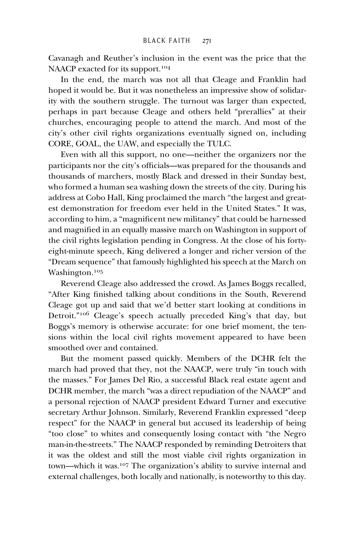Cavanagh and Reuther's inclusion in the event was the price that the NAACP exacted for its support.<sup>104</sup>

In the end, the march was not all that Cleage and Franklin had hoped it would be. But it was nonetheless an impressive show of solidarity with the southern struggle. The turnout was larger than expected, perhaps in part because Cleage and others held "prerallies" at their churches, encouraging people to attend the march. And most of the city's other civil rights organizations eventually signed on, including CORE, GOAL, the UAW, and especially the TULC.

Even with all this support, no one—neither the organizers nor the participants nor the city's officials—was prepared for the thousands and thousands of marchers, mostly Black and dressed in their Sunday best, who formed a human sea washing down the streets of the city. During his address at Cobo Hall, King proclaimed the march "the largest and greatest demonstration for freedom ever held in the United States." It was, according to him, a "magnificent new militancy" that could be harnessed and magnified in an equally massive march on Washington in support of the civil rights legislation pending in Congress. At the close of his fortyeight-minute speech, King delivered a longer and richer version of the "Dream sequence" that famously highlighted his speech at the March on Washington.<sup>105</sup>

Reverend Cleage also addressed the crowd. As James Boggs recalled, "After King finished talking about conditions in the South, Reverend Cleage got up and said that we'd better start looking at conditions in Detroit."<sup>106</sup> Cleage's speech actually preceded King's that day, but Boggs's memory is otherwise accurate: for one brief moment, the tensions within the local civil rights movement appeared to have been smoothed over and contained.

But the moment passed quickly. Members of the DCHR felt the march had proved that they, not the NAACP, were truly "in touch with the masses." For James Del Rio, a successful Black real estate agent and DCHR member, the march "was a direct repudiation of the NAACP" and a personal rejection of NAACP president Edward Turner and executive secretary Arthur Johnson. Similarly, Reverend Franklin expressed "deep respect" for the NAACP in general but accused its leadership of being "too close" to whites and consequently losing contact with "the Negro man-in-the-streets." The NAACP responded by reminding Detroiters that it was the oldest and still the most viable civil rights organization in town—which it was.107 The organization's ability to survive internal and external challenges, both locally and nationally, is noteworthy to this day.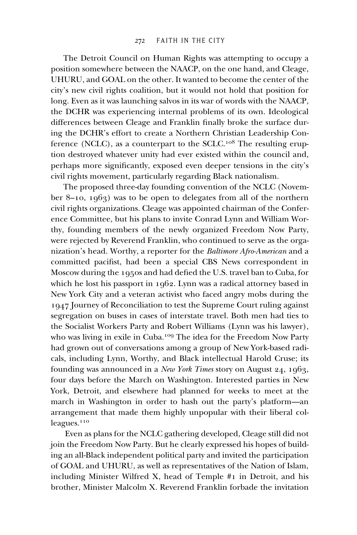The Detroit Council on Human Rights was attempting to occupy a position somewhere between the NAACP, on the one hand, and Cleage, UHURU, and GOAL on the other. It wanted to become the center of the city's new civil rights coalition, but it would not hold that position for long. Even as it was launching salvos in its war of words with the NAACP, the DCHR was experiencing internal problems of its own. Ideological differences between Cleage and Franklin finally broke the surface during the DCHR's effort to create a Northern Christian Leadership Conference (NCLC), as a counterpart to the SCLC.<sup>108</sup> The resulting eruption destroyed whatever unity had ever existed within the council and, perhaps more significantly, exposed even deeper tensions in the city's civil rights movement, particularly regarding Black nationalism.

The proposed three-day founding convention of the NCLC (November 8–10, 1963) was to be open to delegates from all of the northern civil rights organizations. Cleage was appointed chairman of the Conference Committee, but his plans to invite Conrad Lynn and William Worthy, founding members of the newly organized Freedom Now Party, were rejected by Reverend Franklin, who continued to serve as the organization's head. Worthy, a reporter for the *Baltimore Afro-American* and a committed pacifist, had been a special CBS News correspondent in Moscow during the 1950s and had defied the U.S. travel ban to Cuba, for which he lost his passport in 1962. Lynn was a radical attorney based in New York City and a veteran activist who faced angry mobs during the 1947 Journey of Reconciliation to test the Supreme Court ruling against segregation on buses in cases of interstate travel. Both men had ties to the Socialist Workers Party and Robert Williams (Lynn was his lawyer), who was living in exile in Cuba.<sup>109</sup> The idea for the Freedom Now Party had grown out of conversations among a group of New York-based radicals, including Lynn, Worthy, and Black intellectual Harold Cruse; its founding was announced in a *New York Times* story on August 24, 1963, four days before the March on Washington. Interested parties in New York, Detroit, and elsewhere had planned for weeks to meet at the march in Washington in order to hash out the party's platform—an arrangement that made them highly unpopular with their liberal colleagues.<sup>110</sup>

Even as plans for the NCLC gathering developed, Cleage still did not join the Freedom Now Party. But he clearly expressed his hopes of building an all-Black independent political party and invited the participation of GOAL and UHURU, as well as representatives of the Nation of Islam, including Minister Wilfred X, head of Temple #1 in Detroit, and his brother, Minister Malcolm X. Reverend Franklin forbade the invitation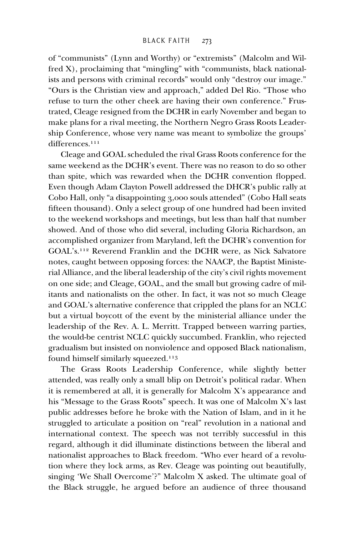of "communists" (Lynn and Worthy) or "extremists" (Malcolm and Wilfred X), proclaiming that "mingling" with "communists, black nationalists and persons with criminal records" would only "destroy our image." "Ours is the Christian view and approach," added Del Rio. "Those who refuse to turn the other cheek are having their own conference." Frustrated, Cleage resigned from the DCHR in early November and began to make plans for a rival meeting, the Northern Negro Grass Roots Leadership Conference, whose very name was meant to symbolize the groups' differences.<sup>111</sup>

Cleage and GOAL scheduled the rival Grass Roots conference for the same weekend as the DCHR's event. There was no reason to do so other than spite, which was rewarded when the DCHR convention flopped. Even though Adam Clayton Powell addressed the DHCR's public rally at Cobo Hall, only "a disappointing 3,000 souls attended" (Cobo Hall seats fifteen thousand). Only a select group of one hundred had been invited to the weekend workshops and meetings, but less than half that number showed. And of those who did several, including Gloria Richardson, an accomplished organizer from Maryland, left the DCHR's convention for GOAL's.<sup>112</sup> Reverend Franklin and the DCHR were, as Nick Salvatore notes, caught between opposing forces: the NAACP, the Baptist Ministerial Alliance, and the liberal leadership of the city's civil rights movement on one side; and Cleage, GOAL, and the small but growing cadre of militants and nationalists on the other. In fact, it was not so much Cleage and GOAL's alternative conference that crippled the plans for an NCLC but a virtual boycott of the event by the ministerial alliance under the leadership of the Rev. A. L. Merritt. Trapped between warring parties, the would-be centrist NCLC quickly succumbed. Franklin, who rejected gradualism but insisted on nonviolence and opposed Black nationalism, found himself similarly squeezed.<sup>113</sup>

The Grass Roots Leadership Conference, while slightly better attended, was really only a small blip on Detroit's political radar. When it is remembered at all, it is generally for Malcolm X's appearance and his "Message to the Grass Roots" speech. It was one of Malcolm X's last public addresses before he broke with the Nation of Islam, and in it he struggled to articulate a position on "real" revolution in a national and international context. The speech was not terribly successful in this regard, although it did illuminate distinctions between the liberal and nationalist approaches to Black freedom. "Who ever heard of a revolution where they lock arms, as Rev. Cleage was pointing out beautifully, singing 'We Shall Overcome'?" Malcolm X asked. The ultimate goal of the Black struggle, he argued before an audience of three thousand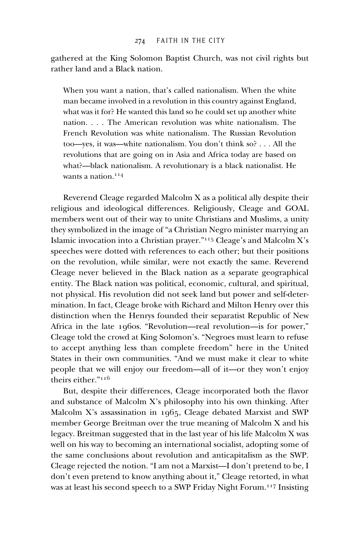gathered at the King Solomon Baptist Church, was not civil rights but rather land and a Black nation.

When you want a nation, that's called nationalism. When the white man became involved in a revolution in this country against England, what was it for? He wanted this land so he could set up another white nation. . . . The American revolution was white nationalism. The French Revolution was white nationalism. The Russian Revolution too—yes, it was—white nationalism. You don't think so? . . . All the revolutions that are going on in Asia and Africa today are based on what?—black nationalism. A revolutionary is a black nationalist. He wants a nation. $114$ 

Reverend Cleage regarded Malcolm X as a political ally despite their religious and ideological differences. Religiously, Cleage and GOAL members went out of their way to unite Christians and Muslims, a unity they symbolized in the image of "a Christian Negro minister marrying an Islamic invocation into a Christian prayer."115 Cleage's and Malcolm X's speeches were dotted with references to each other; but their positions on the revolution, while similar, were not exactly the same. Reverend Cleage never believed in the Black nation as a separate geographical entity. The Black nation was political, economic, cultural, and spiritual, not physical. His revolution did not seek land but power and self-determination. In fact, Cleage broke with Richard and Milton Henry over this distinction when the Henrys founded their separatist Republic of New Africa in the late 1960s. "Revolution—real revolution—is for power," Cleage told the crowd at King Solomon's. "Negroes must learn to refuse to accept anything less than complete freedom" here in the United States in their own communities. "And we must make it clear to white people that we will enjoy our freedom—all of it—or they won't enjoy theirs either."116

But, despite their differences, Cleage incorporated both the flavor and substance of Malcolm X's philosophy into his own thinking. After Malcolm X's assassination in 1965, Cleage debated Marxist and SWP member George Breitman over the true meaning of Malcolm X and his legacy. Breitman suggested that in the last year of his life Malcolm X was well on his way to becoming an international socialist, adopting some of the same conclusions about revolution and anticapitalism as the SWP. Cleage rejected the notion. "I am not a Marxist—I don't pretend to be, I don't even pretend to know anything about it," Cleage retorted, in what was at least his second speech to a SWP Friday Night Forum.<sup>117</sup> Insisting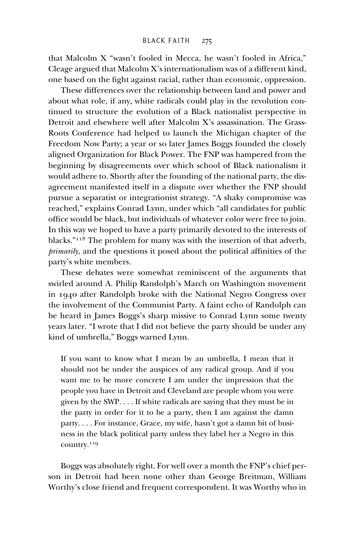that Malcolm X "wasn't fooled in Mecca, he wasn't fooled in Africa," Cleage argued that Malcolm X's internationalism was of a different kind, one based on the fight against racial, rather than economic, oppression.

These differences over the relationship between land and power and about what role, if any, white radicals could play in the revolution continued to structure the evolution of a Black nationalist perspective in Detroit and elsewhere well after Malcolm X's assassination. The Grass-Roots Conference had helped to launch the Michigan chapter of the Freedom Now Party; a year or so later James Boggs founded the closely aligned Organization for Black Power. The FNP was hampered from the beginning by disagreements over which school of Black nationalism it would adhere to. Shortly after the founding of the national party, the disagreement manifested itself in a dispute over whether the FNP should pursue a separatist or integrationist strategy. "A shaky compromise was reached," explains Conrad Lynn, under which "all candidates for public office would be black, but individuals of whatever color were free to join. In this way we hoped to have a party primarily devoted to the interests of blacks."<sup>118</sup> The problem for many was with the insertion of that adverb, *primarily*, and the questions it posed about the political affinities of the party's white members.

These debates were somewhat reminiscent of the arguments that swirled around A. Philip Randolph's March on Washington movement in 1940 after Randolph broke with the National Negro Congress over the involvement of the Communist Party. A faint echo of Randolph can be heard in James Boggs's sharp missive to Conrad Lynn some twenty years later. "I wrote that I did not believe the party should be under any kind of umbrella," Boggs warned Lynn.

If you want to know what I mean by an umbrella, I mean that it should not be under the auspices of any radical group. And if you want me to be more concrete I am under the impression that the people you have in Detroit and Cleveland are people whom you were given by the SWP. . . . If white radicals are saying that they must be in the party in order for it to be a party, then I am against the damn party. . . . For instance, Grace, my wife, hasn't got a damn bit of business in the black political party unless they label her a Negro in this country.<sup>119</sup>

Boggs was absolutely right. For well over a month the FNP's chief person in Detroit had been none other than George Breitman, William Worthy's close friend and frequent correspondent. It was Worthy who in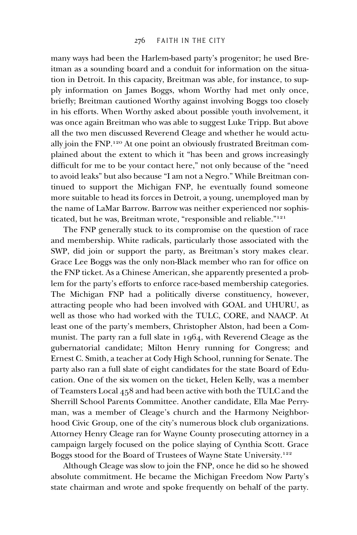many ways had been the Harlem-based party's progenitor; he used Breitman as a sounding board and a conduit for information on the situation in Detroit. In this capacity, Breitman was able, for instance, to supply information on James Boggs, whom Worthy had met only once, briefly; Breitman cautioned Worthy against involving Boggs too closely in his efforts. When Worthy asked about possible youth involvement, it was once again Breitman who was able to suggest Luke Tripp. But above all the two men discussed Reverend Cleage and whether he would actually join the FNP.<sup>120</sup> At one point an obviously frustrated Breitman complained about the extent to which it "has been and grows increasingly difficult for me to be your contact here," not only because of the "need to avoid leaks" but also because "I am not a Negro." While Breitman continued to support the Michigan FNP, he eventually found someone more suitable to head its forces in Detroit, a young, unemployed man by the name of LaMar Barrow. Barrow was neither experienced nor sophisticated, but he was, Breitman wrote, "responsible and reliable."121

The FNP generally stuck to its compromise on the question of race and membership. White radicals, particularly those associated with the SWP, did join or support the party, as Breitman's story makes clear. Grace Lee Boggs was the only non-Black member who ran for office on the FNP ticket. As a Chinese American, she apparently presented a problem for the party's efforts to enforce race-based membership categories. The Michigan FNP had a politically diverse constituency, however, attracting people who had been involved with GOAL and UHURU, as well as those who had worked with the TULC, CORE, and NAACP. At least one of the party's members, Christopher Alston, had been a Communist. The party ran a full slate in 1964, with Reverend Cleage as the gubernatorial candidate; Milton Henry running for Congress; and Ernest C. Smith, a teacher at Cody High School, running for Senate. The party also ran a full slate of eight candidates for the state Board of Education. One of the six women on the ticket, Helen Kelly, was a member of Teamsters Local 458 and had been active with both the TULC and the Sherrill School Parents Committee. Another candidate, Ella Mae Perryman, was a member of Cleage's church and the Harmony Neighborhood Civic Group, one of the city's numerous block club organizations. Attorney Henry Cleage ran for Wayne County prosecuting attorney in a campaign largely focused on the police slaying of Cynthia Scott. Grace Boggs stood for the Board of Trustees of Wayne State University.<sup>122</sup>

Although Cleage was slow to join the FNP, once he did so he showed absolute commitment. He became the Michigan Freedom Now Party's state chairman and wrote and spoke frequently on behalf of the party.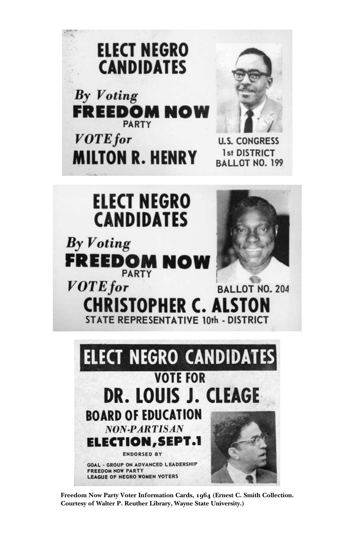



**Freedom Now Party Voter Information Cards, 1964 (Ernest C. Smith Collection. Courtesy of Walter P. Reuther Library, Wayne State University.)**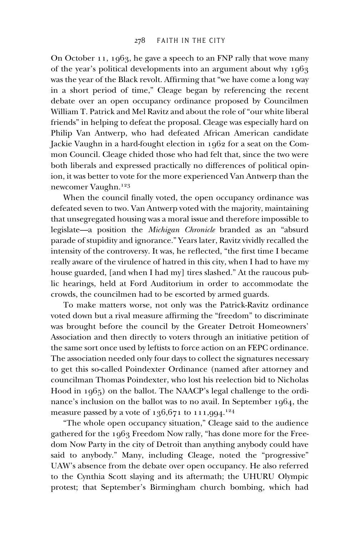On October 11, 1963, he gave a speech to an FNP rally that wove many of the year's political developments into an argument about why 1963 was the year of the Black revolt. Affirming that "we have come a long way in a short period of time," Cleage began by referencing the recent debate over an open occupancy ordinance proposed by Councilmen William T. Patrick and Mel Ravitz and about the role of "our white liberal friends" in helping to defeat the proposal. Cleage was especially hard on Philip Van Antwerp, who had defeated African American candidate Jackie Vaughn in a hard-fought election in 1962 for a seat on the Common Council. Cleage chided those who had felt that, since the two were both liberals and expressed practically no differences of political opinion, it was better to vote for the more experienced Van Antwerp than the newcomer Vaughn.123

When the council finally voted, the open occupancy ordinance was defeated seven to two. Van Antwerp voted with the majority, maintaining that unsegregated housing was a moral issue and therefore impossible to legislate—a position the *Michigan Chronicle* branded as an "absurd parade of stupidity and ignorance." Years later, Ravitz vividly recalled the intensity of the controversy. It was, he reflected, "the first time I became really aware of the virulence of hatred in this city, when I had to have my house guarded, [and when I had my] tires slashed." At the raucous public hearings, held at Ford Auditorium in order to accommodate the crowds, the councilmen had to be escorted by armed guards.

To make matters worse, not only was the Patrick-Ravitz ordinance voted down but a rival measure affirming the "freedom" to discriminate was brought before the council by the Greater Detroit Homeowners' Association and then directly to voters through an initiative petition of the same sort once used by leftists to force action on an FEPC ordinance. The association needed only four days to collect the signatures necessary to get this so-called Poindexter Ordinance (named after attorney and councilman Thomas Poindexter, who lost his reelection bid to Nicholas Hood in 1965) on the ballot. The NAACP's legal challenge to the ordinance's inclusion on the ballot was to no avail. In September 1964, the measure passed by a vote of  $136,671$  to  $111,994$ .<sup>124</sup>

"The whole open occupancy situation," Cleage said to the audience gathered for the 1963 Freedom Now rally, "has done more for the Freedom Now Party in the city of Detroit than anything anybody could have said to anybody." Many, including Cleage, noted the "progressive" UAW's absence from the debate over open occupancy. He also referred to the Cynthia Scott slaying and its aftermath; the UHURU Olympic protest; that September's Birmingham church bombing, which had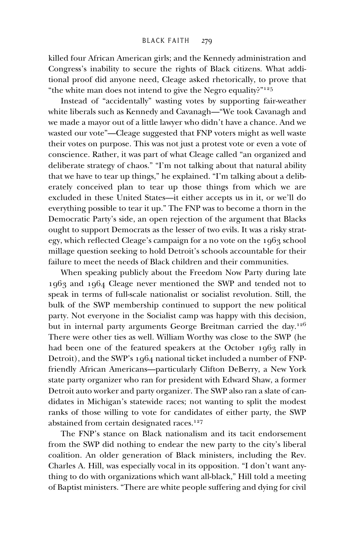killed four African American girls; and the Kennedy administration and Congress's inability to secure the rights of Black citizens. What additional proof did anyone need, Cleage asked rhetorically, to prove that "the white man does not intend to give the Negro equality?"<sup>125</sup>

Instead of "accidentally" wasting votes by supporting fair-weather white liberals such as Kennedy and Cavanagh—"We took Cavanagh and we made a mayor out of a little lawyer who didn't have a chance. And we wasted our vote"—Cleage suggested that FNP voters might as well waste their votes on purpose. This was not just a protest vote or even a vote of conscience. Rather, it was part of what Cleage called "an organized and deliberate strategy of chaos." "I'm not talking about that natural ability that we have to tear up things," he explained. "I'm talking about a deliberately conceived plan to tear up those things from which we are excluded in these United States—it either accepts us in it, or we'll do everything possible to tear it up." The FNP was to become a thorn in the Democratic Party's side, an open rejection of the argument that Blacks ought to support Democrats as the lesser of two evils. It was a risky strategy, which reflected Cleage's campaign for a no vote on the 1963 school millage question seeking to hold Detroit's schools accountable for their failure to meet the needs of Black children and their communities.

When speaking publicly about the Freedom Now Party during late 1963 and 1964 Cleage never mentioned the SWP and tended not to speak in terms of full-scale nationalist or socialist revolution. Still, the bulk of the SWP membership continued to support the new political party. Not everyone in the Socialist camp was happy with this decision, but in internal party arguments George Breitman carried the day.<sup>126</sup> There were other ties as well. William Worthy was close to the SWP (he had been one of the featured speakers at the October 1963 rally in Detroit), and the SWP's 1964 national ticket included a number of FNPfriendly African Americans—particularly Clifton DeBerry, a New York state party organizer who ran for president with Edward Shaw, a former Detroit auto worker and party organizer. The SWP also ran a slate of candidates in Michigan's statewide races; not wanting to split the modest ranks of those willing to vote for candidates of either party, the SWP abstained from certain designated races.<sup>127</sup>

The FNP's stance on Black nationalism and its tacit endorsement from the SWP did nothing to endear the new party to the city's liberal coalition. An older generation of Black ministers, including the Rev. Charles A. Hill, was especially vocal in its opposition. "I don't want anything to do with organizations which want all-black," Hill told a meeting of Baptist ministers. "There are white people suffering and dying for civil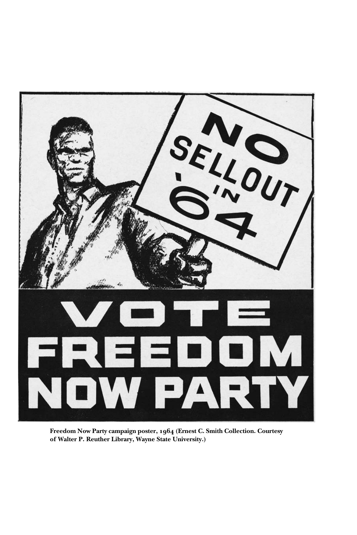

**Freedom Now Party campaign poster, 1964 (Ernest C. Smith Collection. Courtesy of Walter P. Reuther Library, Wayne State University.)**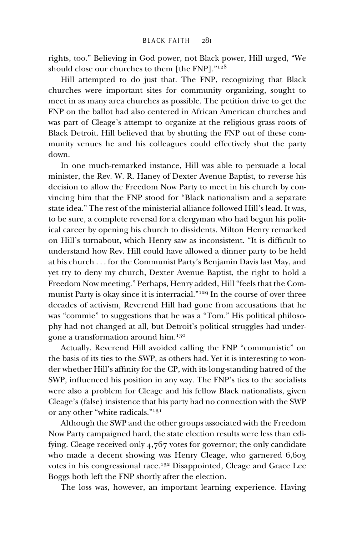rights, too." Believing in God power, not Black power, Hill urged, "We should close our churches to them [the FNP]."<sup>128</sup>

Hill attempted to do just that. The FNP, recognizing that Black churches were important sites for community organizing, sought to meet in as many area churches as possible. The petition drive to get the FNP on the ballot had also centered in African American churches and was part of Cleage's attempt to organize at the religious grass roots of Black Detroit. Hill believed that by shutting the FNP out of these community venues he and his colleagues could effectively shut the party down.

In one much-remarked instance, Hill was able to persuade a local minister, the Rev. W. R. Haney of Dexter Avenue Baptist, to reverse his decision to allow the Freedom Now Party to meet in his church by convincing him that the FNP stood for "Black nationalism and a separate state idea." The rest of the ministerial alliance followed Hill's lead. It was, to be sure, a complete reversal for a clergyman who had begun his political career by opening his church to dissidents. Milton Henry remarked on Hill's turnabout, which Henry saw as inconsistent. "It is difficult to understand how Rev. Hill could have allowed a dinner party to be held at his church . . . for the Communist Party's Benjamin Davis last May, and yet try to deny my church, Dexter Avenue Baptist, the right to hold a Freedom Now meeting." Perhaps, Henry added, Hill "feels that the Communist Party is okay since it is interracial."<sup>129</sup> In the course of over three decades of activism, Reverend Hill had gone from accusations that he was "commie" to suggestions that he was a "Tom." His political philosophy had not changed at all, but Detroit's political struggles had undergone a transformation around him.<sup>130</sup>

Actually, Reverend Hill avoided calling the FNP "communistic" on the basis of its ties to the SWP, as others had. Yet it is interesting to wonder whether Hill's affinity for the CP, with its long-standing hatred of the SWP, influenced his position in any way. The FNP's ties to the socialists were also a problem for Cleage and his fellow Black nationalists, given Cleage's (false) insistence that his party had no connection with the SWP or any other "white radicals."131

Although the SWP and the other groups associated with the Freedom Now Party campaigned hard, the state election results were less than edifying. Cleage received only 4,767 votes for governor; the only candidate who made a decent showing was Henry Cleage, who garnered 6,603 votes in his congressional race.132 Disappointed, Cleage and Grace Lee Boggs both left the FNP shortly after the election.

The loss was, however, an important learning experience. Having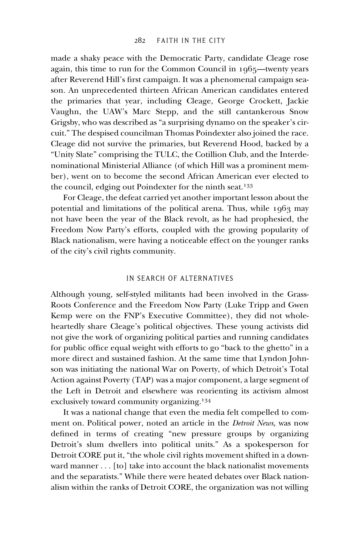made a shaky peace with the Democratic Party, candidate Cleage rose again, this time to run for the Common Council in 1965—twenty years after Reverend Hill's first campaign. It was a phenomenal campaign season. An unprecedented thirteen African American candidates entered the primaries that year, including Cleage, George Crockett, Jackie Vaughn, the UAW's Marc Stepp, and the still cantankerous Snow Grigsby, who was described as "a surprising dynamo on the speaker's circuit." The despised councilman Thomas Poindexter also joined the race. Cleage did not survive the primaries, but Reverend Hood, backed by a "Unity Slate" comprising the TULC, the Cotillion Club, and the Interdenominational Ministerial Alliance (of which Hill was a prominent member), went on to become the second African American ever elected to the council, edging out Poindexter for the ninth seat.<sup>133</sup>

For Cleage, the defeat carried yet another important lesson about the potential and limitations of the political arena. Thus, while 1963 may not have been the year of the Black revolt, as he had prophesied, the Freedom Now Party's efforts, coupled with the growing popularity of Black nationalism, were having a noticeable effect on the younger ranks of the city's civil rights community.

## IN SEARCH OF ALTERNATIVES

Although young, self-styled militants had been involved in the Grass-Roots Conference and the Freedom Now Party (Luke Tripp and Gwen Kemp were on the FNP's Executive Committee), they did not wholeheartedly share Cleage's political objectives. These young activists did not give the work of organizing political parties and running candidates for public office equal weight with efforts to go "back to the ghetto" in a more direct and sustained fashion. At the same time that Lyndon Johnson was initiating the national War on Poverty, of which Detroit's Total Action against Poverty (TAP) was a major component, a large segment of the Left in Detroit and elsewhere was reorienting its activism almost exclusively toward community organizing.<sup>134</sup>

It was a national change that even the media felt compelled to comment on. Political power, noted an article in the *Detroit News,* was now defined in terms of creating "new pressure groups by organizing Detroit's slum dwellers into political units." As a spokesperson for Detroit CORE put it, "the whole civil rights movement shifted in a downward manner . . . [to] take into account the black nationalist movements and the separatists." While there were heated debates over Black nationalism within the ranks of Detroit CORE, the organization was not willing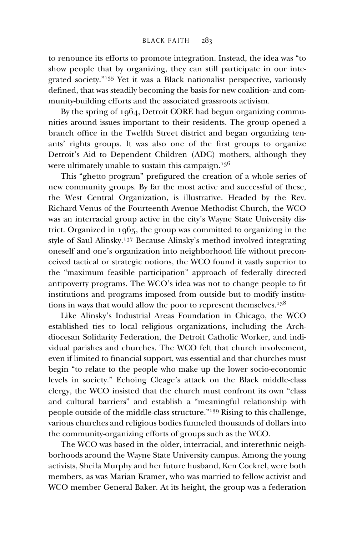to renounce its efforts to promote integration. Instead, the idea was "to show people that by organizing, they can still participate in our integrated society."135 Yet it was a Black nationalist perspective, variously defined, that was steadily becoming the basis for new coalition- and community-building efforts and the associated grassroots activism.

By the spring of 1964, Detroit CORE had begun organizing communities around issues important to their residents. The group opened a branch office in the Twelfth Street district and began organizing tenants' rights groups. It was also one of the first groups to organize Detroit's Aid to Dependent Children (ADC) mothers, although they were ultimately unable to sustain this campaign. $13^6$ 

This "ghetto program" prefigured the creation of a whole series of new community groups. By far the most active and successful of these, the West Central Organization, is illustrative. Headed by the Rev. Richard Venus of the Fourteenth Avenue Methodist Church, the WCO was an interracial group active in the city's Wayne State University district. Organized in 1965, the group was committed to organizing in the style of Saul Alinsky.<sup>137</sup> Because Alinsky's method involved integrating oneself and one's organization into neighborhood life without preconceived tactical or strategic notions, the WCO found it vastly superior to the "maximum feasible participation" approach of federally directed antipoverty programs. The WCO's idea was not to change people to fit institutions and programs imposed from outside but to modify institutions in ways that would allow the poor to represent themselves.138

Like Alinsky's Industrial Areas Foundation in Chicago, the WCO established ties to local religious organizations, including the Archdiocesan Solidarity Federation, the Detroit Catholic Worker, and individual parishes and churches. The WCO felt that church involvement, even if limited to financial support, was essential and that churches must begin "to relate to the people who make up the lower socio-economic levels in society." Echoing Cleage's attack on the Black middle-class clergy, the WCO insisted that the church must confront its own "class and cultural barriers" and establish a "meaningful relationship with people outside of the middle-class structure."139 Rising to this challenge, various churches and religious bodies funneled thousands of dollars into the community-organizing efforts of groups such as the WCO.

The WCO was based in the older, interracial, and interethnic neighborhoods around the Wayne State University campus. Among the young activists, Sheila Murphy and her future husband, Ken Cockrel, were both members, as was Marian Kramer, who was married to fellow activist and WCO member General Baker. At its height, the group was a federation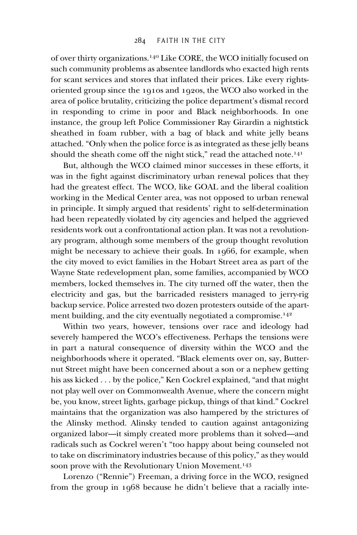of over thirty organizations.<sup>140</sup> Like CORE, the WCO initially focused on such community problems as absentee landlords who exacted high rents for scant services and stores that inflated their prices. Like every rightsoriented group since the 1910s and 1920s, the WCO also worked in the area of police brutality, criticizing the police department's dismal record in responding to crime in poor and Black neighborhoods. In one instance, the group left Police Commissioner Ray Girardin a nightstick sheathed in foam rubber, with a bag of black and white jelly beans attached. "Only when the police force is as integrated as these jelly beans should the sheath come off the night stick," read the attached note. $141$ 

But, although the WCO claimed minor successes in these efforts, it was in the fight against discriminatory urban renewal polices that they had the greatest effect. The WCO, like GOAL and the liberal coalition working in the Medical Center area, was not opposed to urban renewal in principle. It simply argued that residents' right to self-determination had been repeatedly violated by city agencies and helped the aggrieved residents work out a confrontational action plan. It was not a revolutionary program, although some members of the group thought revolution might be necessary to achieve their goals. In 1966, for example, when the city moved to evict families in the Hobart Street area as part of the Wayne State redevelopment plan, some families, accompanied by WCO members, locked themselves in. The city turned off the water, then the electricity and gas, but the barricaded resisters managed to jerry-rig backup service. Police arrested two dozen protesters outside of the apartment building, and the city eventually negotiated a compromise.<sup>142</sup>

Within two years, however, tensions over race and ideology had severely hampered the WCO's effectiveness. Perhaps the tensions were in part a natural consequence of diversity within the WCO and the neighborhoods where it operated. "Black elements over on, say, Butternut Street might have been concerned about a son or a nephew getting his ass kicked . . . by the police," Ken Cockrel explained, "and that might not play well over on Commonwealth Avenue, where the concern might be, you know, street lights, garbage pickup, things of that kind." Cockrel maintains that the organization was also hampered by the strictures of the Alinsky method. Alinsky tended to caution against antagonizing organized labor—it simply created more problems than it solved—and radicals such as Cockrel weren't "too happy about being counseled not to take on discriminatory industries because of this policy," as they would soon prove with the Revolutionary Union Movement.<sup>143</sup>

Lorenzo ("Rennie") Freeman, a driving force in the WCO, resigned from the group in 1968 because he didn't believe that a racially inte